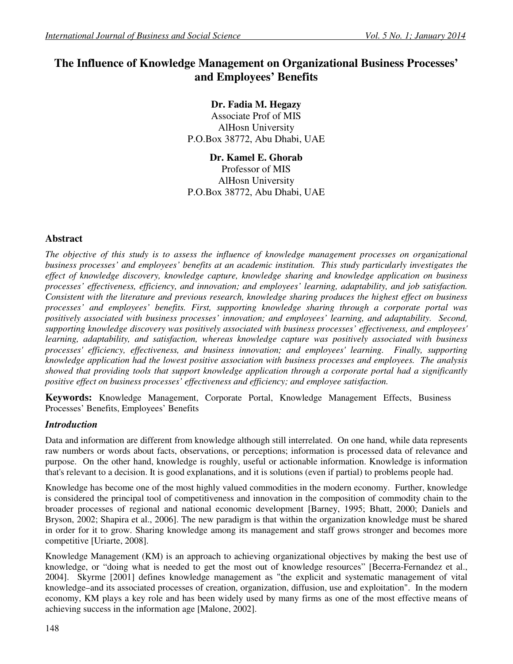# **The Influence of Knowledge Management on Organizational Business Processes' and Employees' Benefits**

**Dr. Fadia M. Hegazy**  Associate Prof of MIS AlHosn University P.O.Box 38772, Abu Dhabi, UAE

**Dr. Kamel E. Ghorab**  Professor of MIS AlHosn University P.O.Box 38772, Abu Dhabi, UAE

## **Abstract**

*The objective of this study is to assess the influence of knowledge management processes on organizational business processes' and employees' benefits at an academic institution. This study particularly investigates the effect of knowledge discovery, knowledge capture, knowledge sharing and knowledge application on business processes' effectiveness, efficiency, and innovation; and employees' learning, adaptability, and job satisfaction. Consistent with the literature and previous research, knowledge sharing produces the highest effect on business processes' and employees' benefits. First, supporting knowledge sharing through a corporate portal was positively associated with business processes' innovation; and employees' learning, and adaptability. Second, supporting knowledge discovery was positively associated with business processes' effectiveness, and employees' learning, adaptability, and satisfaction, whereas knowledge capture was positively associated with business processes' efficiency, effectiveness, and business innovation; and employees' learning. Finally, supporting knowledge application had the lowest positive association with business processes and employees. The analysis showed that providing tools that support knowledge application through a corporate portal had a significantly positive effect on business processes' effectiveness and efficiency; and employee satisfaction.* 

**Keywords:** Knowledge Management, Corporate Portal, Knowledge Management Effects, Business Processes' Benefits, Employees' Benefits

## *Introduction*

Data and information are different from knowledge although still interrelated. On one hand, while data represents raw numbers or words about facts, observations, or perceptions; information is processed data of relevance and purpose. On the other hand, knowledge is roughly, useful or actionable information. Knowledge is information that's relevant to a decision. It is good explanations, and it is solutions (even if partial) to problems people had.

Knowledge has become one of the most highly valued commodities in the modern economy. Further, knowledge is considered the principal tool of competitiveness and innovation in the composition of commodity chain to the broader processes of regional and national economic development [Barney, 1995; Bhatt, 2000; Daniels and Bryson, 2002; Shapira et al., 2006]. The new paradigm is that within the organization knowledge must be shared in order for it to grow. Sharing knowledge among its management and staff grows stronger and becomes more competitive [Uriarte, 2008].

Knowledge Management (KM) is an approach to achieving organizational objectives by making the best use of knowledge, or "doing what is needed to get the most out of knowledge resources" [Becerra-Fernandez et al., 2004].Skyrme [2001] defines knowledge management as "the explicit and systematic management of vital knowledge–and its associated processes of creation, organization, diffusion, use and exploitation". In the modern economy, KM plays a key role and has been widely used by many firms as one of the most effective means of achieving success in the information age [Malone, 2002].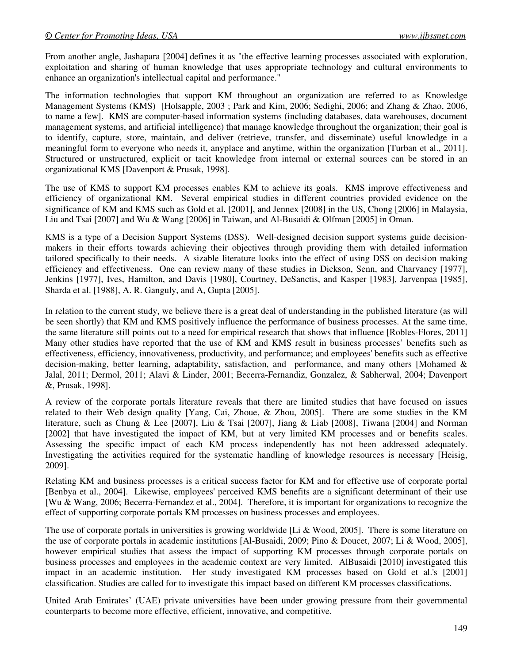From another angle, Jashapara [2004] defines it as "the effective learning processes associated with exploration, exploitation and sharing of human knowledge that uses appropriate technology and cultural environments to enhance an organization's intellectual capital and performance."

The information technologies that support KM throughout an organization are referred to as Knowledge Management Systems (KMS) [Holsapple, 2003 ; Park and Kim, 2006; Sedighi, 2006; and Zhang & Zhao, 2006, to name a few]. KMS are computer-based information systems (including databases, data warehouses, document management systems, and artificial intelligence) that manage knowledge throughout the organization; their goal is to identify, capture, store, maintain, and deliver (retrieve, transfer, and disseminate) useful knowledge in a meaningful form to everyone who needs it, anyplace and anytime, within the organization [Turban et al., 2011]. Structured or unstructured, explicit or tacit knowledge from internal or external sources can be stored in an organizational KMS [Davenport & Prusak, 1998].

The use of KMS to support KM processes enables KM to achieve its goals. KMS improve effectiveness and efficiency of organizational KM. Several empirical studies in different countries provided evidence on the significance of KM and KMS such as Gold et al. [2001], and Jennex [2008] in the US, Chong [2006] in Malaysia, Liu and Tsai [2007] and Wu & Wang [2006] in Taiwan, and Al-Busaidi & Olfman [2005] in Oman.

KMS is a type of a Decision Support Systems (DSS). Well-designed decision support systems guide decisionmakers in their efforts towards achieving their objectives through providing them with detailed information tailored specifically to their needs. A sizable literature looks into the effect of using DSS on decision making efficiency and effectiveness. One can review many of these studies in Dickson, Senn, and Charvancy [1977], Jenkins [1977], Ives, Hamilton, and Davis [1980], Courtney, DeSanctis, and Kasper [1983], Jarvenpaa [1985], Sharda et al. [1988], A. R. Ganguly, and A, Gupta [2005].

In relation to the current study, we believe there is a great deal of understanding in the published literature (as will be seen shortly) that KM and KMS positively influence the performance of business processes. At the same time, the same literature still points out to a need for empirical research that shows that influence [Robles-Flores, 2011] Many other studies have reported that the use of KM and KMS result in business processes' benefits such as effectiveness, efficiency, innovativeness, productivity, and performance; and employees' benefits such as effective decision-making, better learning, adaptability, satisfaction, and performance, and many others [Mohamed & Jalal, 2011; Dermol, 2011; Alavi & Linder, 2001; Becerra-Fernandiz, Gonzalez, & Sabherwal, 2004; Davenport &, Prusak, 1998].

A review of the corporate portals literature reveals that there are limited studies that have focused on issues related to their Web design quality [Yang, Cai, Zhoue, & Zhou, 2005]. There are some studies in the KM literature, such as Chung & Lee [2007], Liu & Tsai [2007], Jiang & Liab [2008], Tiwana [2004] and Norman [2002] that have investigated the impact of KM, but at very limited KM processes and or benefits scales. Assessing the specific impact of each KM process independently has not been addressed adequately. Investigating the activities required for the systematic handling of knowledge resources is necessary [Heisig, 2009].

Relating KM and business processes is a critical success factor for KM and for effective use of corporate portal [Benbya et al., 2004]. Likewise, employees' perceived KMS benefits are a significant determinant of their use [Wu & Wang, 2006; Becerra-Fernandez et al., 2004]. Therefore, it is important for organizations to recognize the effect of supporting corporate portals KM processes on business processes and employees.

The use of corporate portals in universities is growing worldwide [Li & Wood, 2005]. There is some literature on the use of corporate portals in academic institutions [Al-Busaidi, 2009; Pino & Doucet, 2007; Li & Wood, 2005], however empirical studies that assess the impact of supporting KM processes through corporate portals on business processes and employees in the academic context are very limited. AlBusaidi [2010] investigated this impact in an academic institution. Her study investigated KM processes based on Gold et al.'s [2001] classification. Studies are called for to investigate this impact based on different KM processes classifications.

United Arab Emirates' (UAE) private universities have been under growing pressure from their governmental counterparts to become more effective, efficient, innovative, and competitive.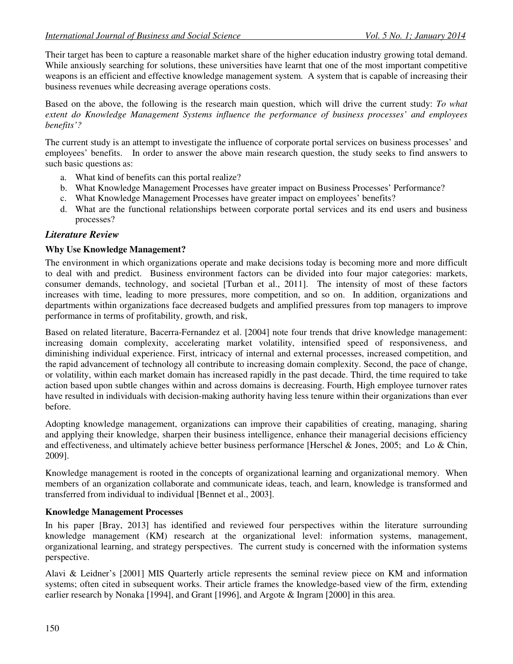Their target has been to capture a reasonable market share of the higher education industry growing total demand. While anxiously searching for solutions, these universities have learnt that one of the most important competitive weapons is an efficient and effective knowledge management system. A system that is capable of increasing their business revenues while decreasing average operations costs.

Based on the above, the following is the research main question, which will drive the current study: *To what extent do Knowledge Management Systems influence the performance of business processes' and employees benefits'?* 

The current study is an attempt to investigate the influence of corporate portal services on business processes' and employees' benefits. In order to answer the above main research question, the study seeks to find answers to such basic questions as:

- a. What kind of benefits can this portal realize?
- b. What Knowledge Management Processes have greater impact on Business Processes' Performance?
- c. What Knowledge Management Processes have greater impact on employees' benefits?
- d. What are the functional relationships between corporate portal services and its end users and business processes?

## *Literature Review*

## **Why Use Knowledge Management?**

The environment in which organizations operate and make decisions today is becoming more and more difficult to deal with and predict. Business environment factors can be divided into four major categories: markets, consumer demands, technology, and societal [Turban et al., 2011]. The intensity of most of these factors increases with time, leading to more pressures, more competition, and so on. In addition, organizations and departments within organizations face decreased budgets and amplified pressures from top managers to improve performance in terms of profitability, growth, and risk,

Based on related literature, Bacerra-Fernandez et al. [2004] note four trends that drive knowledge management: increasing domain complexity, accelerating market volatility, intensified speed of responsiveness, and diminishing individual experience. First, intricacy of internal and external processes, increased competition, and the rapid advancement of technology all contribute to increasing domain complexity. Second, the pace of change, or volatility, within each market domain has increased rapidly in the past decade. Third, the time required to take action based upon subtle changes within and across domains is decreasing. Fourth, High employee turnover rates have resulted in individuals with decision-making authority having less tenure within their organizations than ever before.

Adopting knowledge management, organizations can improve their capabilities of creating, managing, sharing and applying their knowledge, sharpen their business intelligence, enhance their managerial decisions efficiency and effectiveness, and ultimately achieve better business performance [Herschel & Jones, 2005; and Lo & Chin, 2009].

Knowledge management is rooted in the concepts of organizational learning and organizational memory. When members of an organization collaborate and communicate ideas, teach, and learn, knowledge is transformed and transferred from individual to individual [Bennet et al., 2003].

## **Knowledge Management Processes**

In his paper [Bray, 2013] has identified and reviewed four perspectives within the literature surrounding knowledge management (KM) research at the organizational level: information systems, management, organizational learning, and strategy perspectives. The current study is concerned with the information systems perspective.

Alavi & Leidner's [2001] MIS Quarterly article represents the seminal review piece on KM and information systems; often cited in subsequent works. Their article frames the knowledge-based view of the firm, extending earlier research by Nonaka [1994], and Grant [1996], and Argote & Ingram [2000] in this area.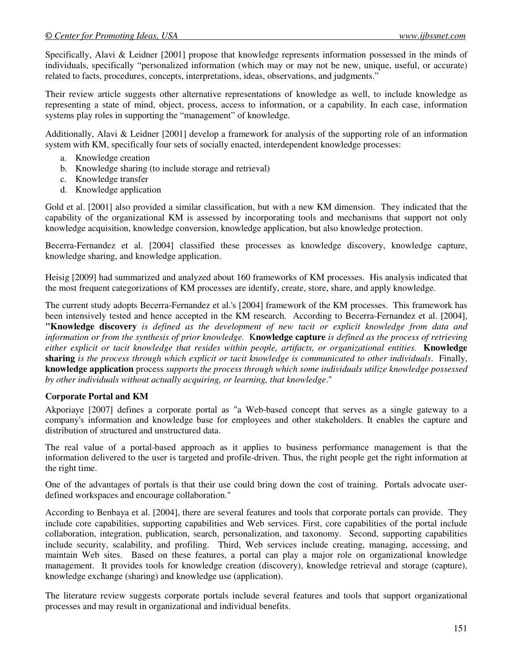Specifically, Alavi & Leidner [2001] propose that knowledge represents information possessed in the minds of individuals, specifically "personalized information (which may or may not be new, unique, useful, or accurate) related to facts, procedures, concepts, interpretations, ideas, observations, and judgments."

Their review article suggests other alternative representations of knowledge as well, to include knowledge as representing a state of mind, object, process, access to information, or a capability. In each case, information systems play roles in supporting the "management" of knowledge.

Additionally, Alavi & Leidner [2001] develop a framework for analysis of the supporting role of an information system with KM, specifically four sets of socially enacted, interdependent knowledge processes:

- a. Knowledge creation
- b. Knowledge sharing (to include storage and retrieval)
- c. Knowledge transfer
- d. Knowledge application

Gold et al. [2001] also provided a similar classification, but with a new KM dimension. They indicated that the capability of the organizational KM is assessed by incorporating tools and mechanisms that support not only knowledge acquisition, knowledge conversion, knowledge application, but also knowledge protection.

Becerra-Fernandez et al. [2004] classified these processes as knowledge discovery, knowledge capture, knowledge sharing, and knowledge application.

Heisig [2009] had summarized and analyzed about 160 frameworks of KM processes. His analysis indicated that the most frequent categorizations of KM processes are identify, create, store, share, and apply knowledge.

The current study adopts Becerra-Fernandez et al.'s [2004] framework of the KM processes. This framework has been intensively tested and hence accepted in the KM research. According to Becerra-Fernandez et al. [2004], **"Knowledge discovery** *is defined as the development of new tacit or explicit knowledge from data and information or from the synthesis of prior knowledge.* K**nowledge capture** *is defined as the process of retrieving either explicit or tacit knowledge that resides within people, artifacts, or organizational entities.* **Knowledge sharing** *is the process through which explicit or tacit knowledge is communicated to other individuals*. Finally, **knowledge application** process *supports the process through which some individuals utilize knowledge possessed by other individuals without actually acquiring, or learning, that knowledge*."

#### **Corporate Portal and KM**

Akporiaye [2007] defines a corporate portal as "a Web-based concept that serves as a single gateway to a company's information and knowledge base for employees and other stakeholders. It enables the capture and distribution of structured and unstructured data.

The real value of a portal-based approach as it applies to business performance management is that the information delivered to the user is targeted and profile-driven. Thus, the right people get the right information at the right time.

One of the advantages of portals is that their use could bring down the cost of training. Portals advocate userdefined workspaces and encourage collaboration."

According to Benbaya et al. [2004], there are several features and tools that corporate portals can provide. They include core capabilities, supporting capabilities and Web services. First, core capabilities of the portal include collaboration, integration, publication, search, personalization, and taxonomy. Second, supporting capabilities include security, scalability, and profiling. Third, Web services include creating, managing, accessing, and maintain Web sites. Based on these features, a portal can play a major role on organizational knowledge management. It provides tools for knowledge creation (discovery), knowledge retrieval and storage (capture), knowledge exchange (sharing) and knowledge use (application).

The literature review suggests corporate portals include several features and tools that support organizational processes and may result in organizational and individual benefits.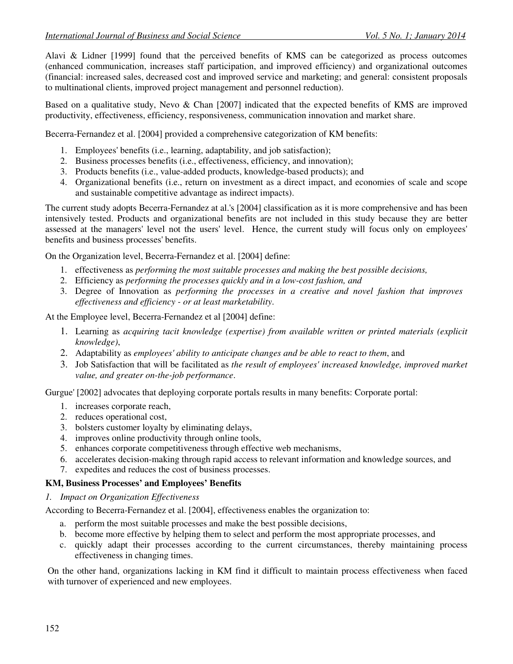Alavi & Lidner [1999] found that the perceived benefits of KMS can be categorized as process outcomes (enhanced communication, increases staff participation, and improved efficiency) and organizational outcomes (financial: increased sales, decreased cost and improved service and marketing; and general: consistent proposals to multinational clients, improved project management and personnel reduction).

Based on a qualitative study, Nevo & Chan [2007] indicated that the expected benefits of KMS are improved productivity, effectiveness, efficiency, responsiveness, communication innovation and market share.

Becerra-Fernandez et al. [2004] provided a comprehensive categorization of KM benefits:

- 1. Employees' benefits (i.e., learning, adaptability, and job satisfaction);
- 2. Business processes benefits (i.e., effectiveness, efficiency, and innovation);
- 3. Products benefits (i.e., value-added products, knowledge-based products); and
- 4. Organizational benefits (i.e., return on investment as a direct impact, and economies of scale and scope and sustainable competitive advantage as indirect impacts).

The current study adopts Becerra-Fernandez at al.'s [2004] classification as it is more comprehensive and has been intensively tested. Products and organizational benefits are not included in this study because they are better assessed at the managers' level not the users' level. Hence, the current study will focus only on employees' benefits and business processes' benefits.

On the Organization level, Becerra-Fernandez et al. [2004] define:

- 1. effectiveness as *performing the most suitable processes and making the best possible decisions,*
- 2. Efficiency as *performing the processes quickly and in a low-cost fashion, and*
- 3. Degree of Innovation as *performing the processes in a creative and novel fashion that improves effectiveness and efficiency - or at least marketability*.

At the Employee level, Becerra-Fernandez et al [2004] define:

- 1. Learning as *acquiring tacit knowledge (expertise) from available written or printed materials (explicit knowledge)*,
- 2. Adaptability as *employees' ability to anticipate changes and be able to react to them*, and
- 3. Job Satisfaction that will be facilitated as *the result of employees' increased knowledge, improved market value, and greater on-the-job performance*.

Gurgue' [2002] advocates that deploying corporate portals results in many benefits: Corporate portal:

- 1. increases corporate reach,
- 2. reduces operational cost,
- 3. bolsters customer loyalty by eliminating delays,
- 4. improves online productivity through online tools,
- 5. enhances corporate competitiveness through effective web mechanisms,
- 6. accelerates decision-making through rapid access to relevant information and knowledge sources, and
- 7. expedites and reduces the cost of business processes.

#### **KM, Business Processes' and Employees' Benefits**

#### *1. Impact on Organization Effectiveness*

According to Becerra-Fernandez et al. [2004], effectiveness enables the organization to:

- a. perform the most suitable processes and make the best possible decisions,
- b. become more effective by helping them to select and perform the most appropriate processes, and
- c. quickly adapt their processes according to the current circumstances, thereby maintaining process effectiveness in changing times.

On the other hand, organizations lacking in KM find it difficult to maintain process effectiveness when faced with turnover of experienced and new employees.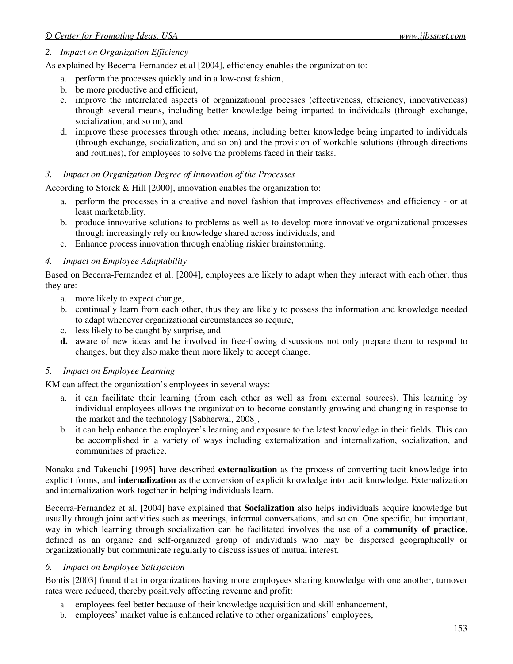#### *2. Impact on Organization Efficiency*

As explained by Becerra-Fernandez et al [2004], efficiency enables the organization to:

- a. perform the processes quickly and in a low-cost fashion,
- b. be more productive and efficient,
- c. improve the interrelated aspects of organizational processes (effectiveness, efficiency, innovativeness) through several means, including better knowledge being imparted to individuals (through exchange, socialization, and so on), and
- d. improve these processes through other means, including better knowledge being imparted to individuals (through exchange, socialization, and so on) and the provision of workable solutions (through directions and routines), for employees to solve the problems faced in their tasks.

#### *3. Impact on Organization Degree of Innovation of the Processes*

According to Storck & Hill [2000], innovation enables the organization to:

- a. perform the processes in a creative and novel fashion that improves effectiveness and efficiency or at least marketability,
- b. produce innovative solutions to problems as well as to develop more innovative organizational processes through increasingly rely on knowledge shared across individuals, and
- c. Enhance process innovation through enabling riskier brainstorming.

#### *4. Impact on Employee Adaptability*

Based on Becerra-Fernandez et al. [2004], employees are likely to adapt when they interact with each other; thus they are:

- a. more likely to expect change,
- b. continually learn from each other, thus they are likely to possess the information and knowledge needed to adapt whenever organizational circumstances so require,
- c. less likely to be caught by surprise, and
- **d.** aware of new ideas and be involved in free-flowing discussions not only prepare them to respond to changes, but they also make them more likely to accept change.

#### *5. Impact on Employee Learning*

KM can affect the organization's employees in several ways:

- a. it can facilitate their learning (from each other as well as from external sources). This learning by individual employees allows the organization to become constantly growing and changing in response to the market and the technology [Sabherwal, 2008],
- b. it can help enhance the employee's learning and exposure to the latest knowledge in their fields. This can be accomplished in a variety of ways including externalization and internalization, socialization, and communities of practice.

Nonaka and Takeuchi [1995] have described **externalization** as the process of converting tacit knowledge into explicit forms, and **internalization** as the conversion of explicit knowledge into tacit knowledge. Externalization and internalization work together in helping individuals learn.

Becerra-Fernandez et al. [2004] have explained that **Socialization** also helps individuals acquire knowledge but usually through joint activities such as meetings, informal conversations, and so on. One specific, but important, way in which learning through socialization can be facilitated involves the use of a **community of practice**, defined as an organic and self-organized group of individuals who may be dispersed geographically or organizationally but communicate regularly to discuss issues of mutual interest.

### *6. Impact on Employee Satisfaction*

Bontis [2003] found that in organizations having more employees sharing knowledge with one another, turnover rates were reduced, thereby positively affecting revenue and profit:

- a. employees feel better because of their knowledge acquisition and skill enhancement,
- b. employees' market value is enhanced relative to other organizations' employees,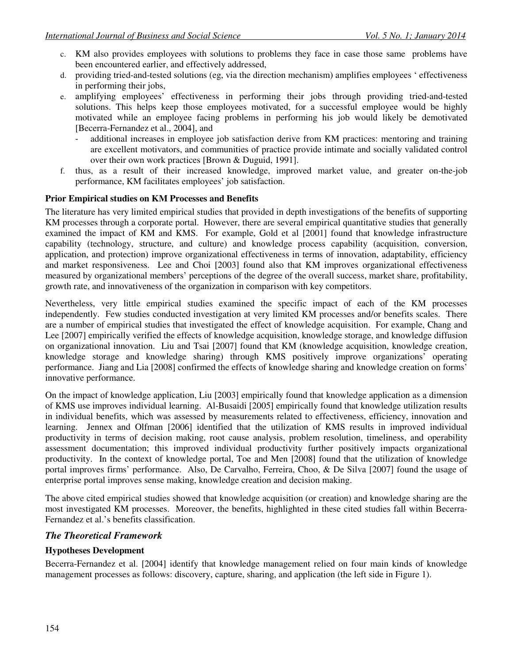- c. KM also provides employees with solutions to problems they face in case those same problems have been encountered earlier, and effectively addressed,
- d. providing tried-and-tested solutions (eg, via the direction mechanism) amplifies employees ' effectiveness in performing their jobs,
- e. amplifying employees' effectiveness in performing their jobs through providing tried-and-tested solutions. This helps keep those employees motivated, for a successful employee would be highly motivated while an employee facing problems in performing his job would likely be demotivated [Becerra-Fernandez et al., 2004], and
	- additional increases in employee job satisfaction derive from KM practices: mentoring and training are excellent motivators, and communities of practice provide intimate and socially validated control over their own work practices [Brown & Duguid, 1991].
- f. thus, as a result of their increased knowledge, improved market value, and greater on-the-job performance, KM facilitates employees' job satisfaction.

### **Prior Empirical studies on KM Processes and Benefits**

The literature has very limited empirical studies that provided in depth investigations of the benefits of supporting KM processes through a corporate portal. However, there are several empirical quantitative studies that generally examined the impact of KM and KMS. For example, Gold et al [2001] found that knowledge infrastructure capability (technology, structure, and culture) and knowledge process capability (acquisition, conversion, application, and protection) improve organizational effectiveness in terms of innovation, adaptability, efficiency and market responsiveness. Lee and Choi [2003] found also that KM improves organizational effectiveness measured by organizational members' perceptions of the degree of the overall success, market share, profitability, growth rate, and innovativeness of the organization in comparison with key competitors.

Nevertheless, very little empirical studies examined the specific impact of each of the KM processes independently. Few studies conducted investigation at very limited KM processes and/or benefits scales. There are a number of empirical studies that investigated the effect of knowledge acquisition. For example, Chang and Lee [2007] empirically verified the effects of knowledge acquisition, knowledge storage, and knowledge diffusion on organizational innovation. Liu and Tsai [2007] found that KM (knowledge acquisition, knowledge creation, knowledge storage and knowledge sharing) through KMS positively improve organizations' operating performance. Jiang and Lia [2008] confirmed the effects of knowledge sharing and knowledge creation on forms' innovative performance.

On the impact of knowledge application, Liu [2003] empirically found that knowledge application as a dimension of KMS use improves individual learning. Al-Busaidi [2005] empirically found that knowledge utilization results in individual benefits, which was assessed by measurements related to effectiveness, efficiency, innovation and learning. Jennex and Olfman [2006] identified that the utilization of KMS results in improved individual productivity in terms of decision making, root cause analysis, problem resolution, timeliness, and operability assessment documentation; this improved individual productivity further positively impacts organizational productivity. In the context of knowledge portal, Toe and Men [2008] found that the utilization of knowledge portal improves firms' performance. Also, De Carvalho, Ferreira, Choo, & De Silva [2007] found the usage of enterprise portal improves sense making, knowledge creation and decision making.

The above cited empirical studies showed that knowledge acquisition (or creation) and knowledge sharing are the most investigated KM processes. Moreover, the benefits, highlighted in these cited studies fall within Becerra-Fernandez et al.'s benefits classification.

## *The Theoretical Framework*

#### **Hypotheses Development**

Becerra-Fernandez et al. [2004] identify that knowledge management relied on four main kinds of knowledge management processes as follows: discovery, capture, sharing, and application (the left side in Figure 1).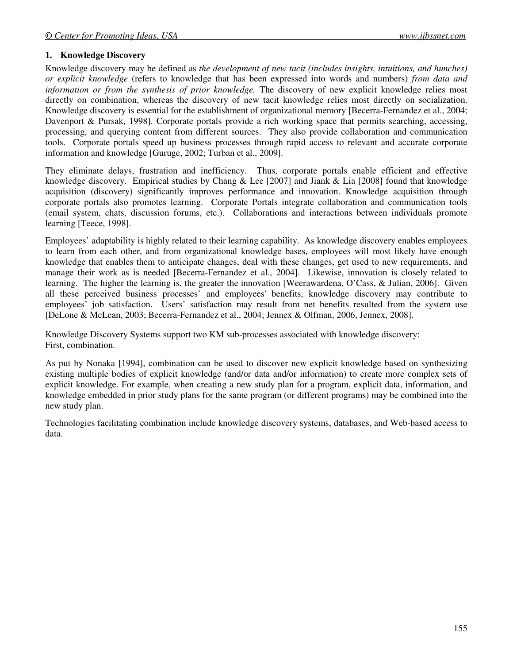### **1. Knowledge Discovery**

Knowledge discovery may be defined as *the development of new tacit (includes insights, intuitions, and hunches) or explicit knowledge* (refers to knowledge that has been expressed into words and numbers) *from data and information or from the synthesis of prior knowledge.* The discovery of new explicit knowledge relies most directly on combination, whereas the discovery of new tacit knowledge relies most directly on socialization. Knowledge discovery is essential for the establishment of organizational memory [Becerra-Fernandez et al., 2004; Davenport & Pursak, 1998]. Corporate portals provide a rich working space that permits searching, accessing, processing, and querying content from different sources. They also provide collaboration and communication tools. Corporate portals speed up business processes through rapid access to relevant and accurate corporate information and knowledge [Guruge, 2002; Turban et al., 2009].

They eliminate delays, frustration and inefficiency. Thus, corporate portals enable efficient and effective knowledge discovery. Empirical studies by Chang & Lee [2007] and Jiank & Lia [2008] found that knowledge acquisition (discovery) significantly improves performance and innovation. Knowledge acquisition through corporate portals also promotes learning. Corporate Portals integrate collaboration and communication tools (email system, chats, discussion forums, etc.). Collaborations and interactions between individuals promote learning [Teece, 1998].

Employees' adaptability is highly related to their learning capability. As knowledge discovery enables employees to learn from each other, and from organizational knowledge bases, employees will most likely have enough knowledge that enables them to anticipate changes, deal with these changes, get used to new requirements, and manage their work as is needed [Becerra-Fernandez et al., 2004]. Likewise, innovation is closely related to learning. The higher the learning is, the greater the innovation [Weerawardena, O'Cass, & Julian, 2006]. Given all these perceived business processes' and employees' benefits, knowledge discovery may contribute to employees' job satisfaction. Users' satisfaction may result from net benefits resulted from the system use [DeLone & McLean, 2003; Becerra-Fernandez et al., 2004; Jennex & Olfman, 2006, Jennex, 2008].

Knowledge Discovery Systems support two KM sub-processes associated with knowledge discovery: First, combination.

As put by Nonaka [1994], combination can be used to discover new explicit knowledge based on synthesizing existing multiple bodies of explicit knowledge (and/or data and/or information) to create more complex sets of explicit knowledge. For example, when creating a new study plan for a program, explicit data, information, and knowledge embedded in prior study plans for the same program (or different programs) may be combined into the new study plan.

Technologies facilitating combination include knowledge discovery systems, databases, and Web-based access to data.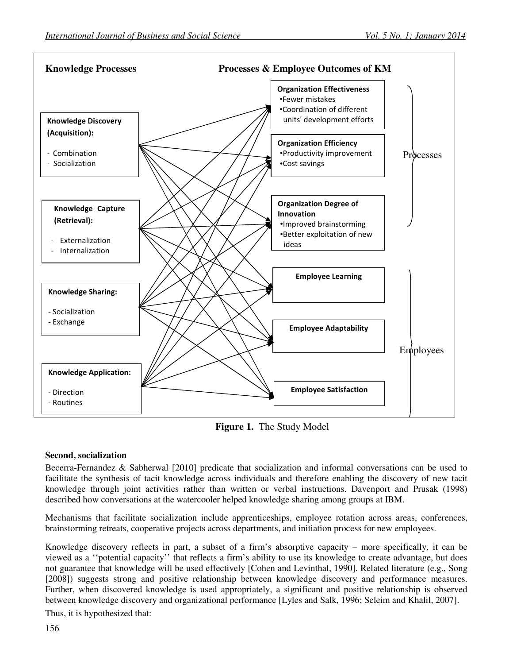

**Figure 1.** The Study Model

## **Second, socialization**

Becerra-Fernandez & Sabherwal [2010] predicate that socialization and informal conversations can be used to facilitate the synthesis of tacit knowledge across individuals and therefore enabling the discovery of new tacit knowledge through joint activities rather than written or verbal instructions. Davenport and Prusak (1998) described how conversations at the watercooler helped knowledge sharing among groups at IBM.

Mechanisms that facilitate socialization include apprenticeships, employee rotation across areas, conferences, brainstorming retreats, cooperative projects across departments, and initiation process for new employees.

Knowledge discovery reflects in part, a subset of a firm's absorptive capacity – more specifically, it can be viewed as a ''potential capacity'' that reflects a firm's ability to use its knowledge to create advantage, but does not guarantee that knowledge will be used effectively [Cohen and Levinthal, 1990]. Related literature (e.g., Song [2008]) suggests strong and positive relationship between knowledge discovery and performance measures. Further, when discovered knowledge is used appropriately, a significant and positive relationship is observed between knowledge discovery and organizational performance [Lyles and Salk, 1996; Seleim and Khalil, 2007].

Thus, it is hypothesized that: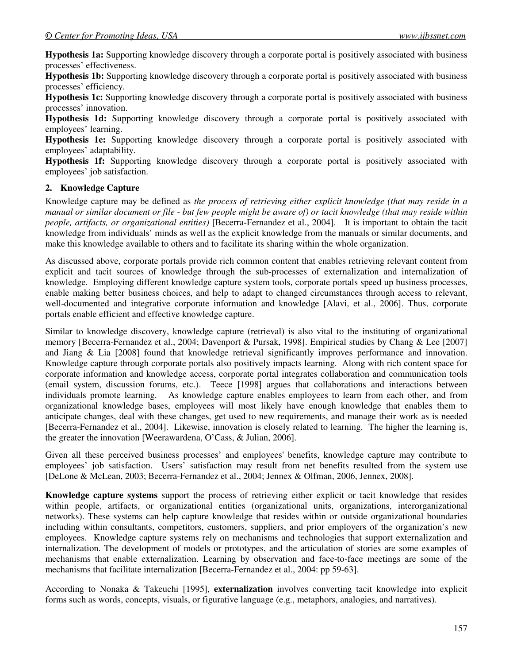**Hypothesis 1a:** Supporting knowledge discovery through a corporate portal is positively associated with business processes' effectiveness.

**Hypothesis 1b:** Supporting knowledge discovery through a corporate portal is positively associated with business processes' efficiency.

**Hypothesis 1c:** Supporting knowledge discovery through a corporate portal is positively associated with business processes' innovation.

**Hypothesis 1d:** Supporting knowledge discovery through a corporate portal is positively associated with employees' learning.

**Hypothesis 1e:** Supporting knowledge discovery through a corporate portal is positively associated with employees' adaptability.

**Hypothesis 1f:** Supporting knowledge discovery through a corporate portal is positively associated with employees' job satisfaction.

#### **2. Knowledge Capture**

Knowledge capture may be defined as *the process of retrieving either explicit knowledge (that may reside in a manual or similar document or file - but few people might be aware of) or tacit knowledge (that may reside within people, artifacts, or organizational entities)* [Becerra-Fernandez et al., 2004]*.* It is important to obtain the tacit knowledge from individuals' minds as well as the explicit knowledge from the manuals or similar documents, and make this knowledge available to others and to facilitate its sharing within the whole organization.

As discussed above, corporate portals provide rich common content that enables retrieving relevant content from explicit and tacit sources of knowledge through the sub-processes of externalization and internalization of knowledge. Employing different knowledge capture system tools, corporate portals speed up business processes, enable making better business choices, and help to adapt to changed circumstances through access to relevant, well-documented and integrative corporate information and knowledge [Alavi, et al., 2006]. Thus, corporate portals enable efficient and effective knowledge capture.

Similar to knowledge discovery, knowledge capture (retrieval) is also vital to the instituting of organizational memory [Becerra-Fernandez et al., 2004; Davenport & Pursak, 1998]. Empirical studies by Chang & Lee [2007] and Jiang & Lia [2008] found that knowledge retrieval significantly improves performance and innovation. Knowledge capture through corporate portals also positively impacts learning. Along with rich content space for corporate information and knowledge access, corporate portal integrates collaboration and communication tools (email system, discussion forums, etc.). Teece [1998] argues that collaborations and interactions between individuals promote learning. As knowledge capture enables employees to learn from each other, and from organizational knowledge bases, employees will most likely have enough knowledge that enables them to anticipate changes, deal with these changes, get used to new requirements, and manage their work as is needed [Becerra-Fernandez et al., 2004]. Likewise, innovation is closely related to learning. The higher the learning is, the greater the innovation [Weerawardena, O'Cass, & Julian, 2006].

Given all these perceived business processes' and employees' benefits, knowledge capture may contribute to employees' job satisfaction. Users' satisfaction may result from net benefits resulted from the system use [DeLone & McLean, 2003; Becerra-Fernandez et al., 2004; Jennex & Olfman, 2006, Jennex, 2008].

**Knowledge capture systems** support the process of retrieving either explicit or tacit knowledge that resides within people, artifacts, or organizational entities (organizational units, organizations, interorganizational networks). These systems can help capture knowledge that resides within or outside organizational boundaries including within consultants, competitors, customers, suppliers, and prior employers of the organization's new employees. Knowledge capture systems rely on mechanisms and technologies that support externalization and internalization. The development of models or prototypes, and the articulation of stories are some examples of mechanisms that enable externalization. Learning by observation and face-to-face meetings are some of the mechanisms that facilitate internalization [Becerra-Fernandez et al., 2004: pp 59-63].

According to Nonaka & Takeuchi [1995], **externalization** involves converting tacit knowledge into explicit forms such as words, concepts, visuals, or figurative language (e.g., metaphors, analogies, and narratives).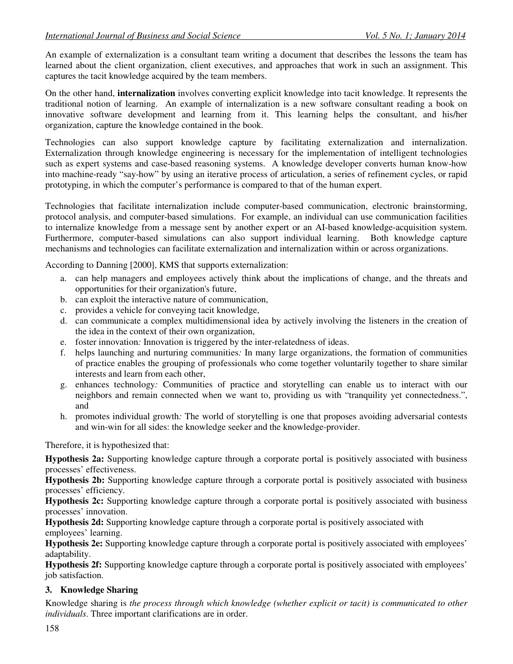An example of externalization is a consultant team writing a document that describes the lessons the team has learned about the client organization, client executives, and approaches that work in such an assignment. This captures the tacit knowledge acquired by the team members.

On the other hand, **internalization** involves converting explicit knowledge into tacit knowledge. It represents the traditional notion of learning. An example of internalization is a new software consultant reading a book on innovative software development and learning from it. This learning helps the consultant, and his/her organization, capture the knowledge contained in the book.

Technologies can also support knowledge capture by facilitating externalization and internalization. Externalization through knowledge engineering is necessary for the implementation of intelligent technologies such as expert systems and case-based reasoning systems. A knowledge developer converts human know-how into machine-ready "say-how" by using an iterative process of articulation, a series of refinement cycles, or rapid prototyping, in which the computer's performance is compared to that of the human expert.

Technologies that facilitate internalization include computer-based communication, electronic brainstorming, protocol analysis, and computer-based simulations. For example, an individual can use communication facilities to internalize knowledge from a message sent by another expert or an AI-based knowledge-acquisition system. Furthermore, computer-based simulations can also support individual learning. Both knowledge capture mechanisms and technologies can facilitate externalization and internalization within or across organizations.

According to Danning [2000], KMS that supports externalization:

- a. can help managers and employees actively think about the implications of change, and the threats and opportunities for their organization's future,
- b. can exploit the interactive nature of communication,
- c. provides a vehicle for conveying tacit knowledge,
- d. can communicate a complex multidimensional idea by actively involving the listeners in the creation of the idea in the context of their own organization,
- e. foster innovation*:* Innovation is triggered by the inter-relatedness of ideas.
- f. helps launching and nurturing communities*:* In many large organizations, the formation of communities of practice enables the grouping of professionals who come together voluntarily together to share similar interests and learn from each other,
- g. enhances technology*:* Communities of practice and storytelling can enable us to interact with our neighbors and remain connected when we want to, providing us with "tranquility yet connectedness.", and
- h. promotes individual growth*:* The world of storytelling is one that proposes avoiding adversarial contests and win-win for all sides: the knowledge seeker and the knowledge-provider.

Therefore, it is hypothesized that:

**Hypothesis 2a:** Supporting knowledge capture through a corporate portal is positively associated with business processes' effectiveness.

**Hypothesis 2b:** Supporting knowledge capture through a corporate portal is positively associated with business processes' efficiency.

**Hypothesis 2c:** Supporting knowledge capture through a corporate portal is positively associated with business processes' innovation.

**Hypothesis 2d:** Supporting knowledge capture through a corporate portal is positively associated with employees' learning.

**Hypothesis 2e:** Supporting knowledge capture through a corporate portal is positively associated with employees' adaptability.

**Hypothesis 2f:** Supporting knowledge capture through a corporate portal is positively associated with employees' job satisfaction.

## **3. Knowledge Sharing**

Knowledge sharing is *the process through which knowledge (whether explicit or tacit) is communicated to other individuals*. Three important clarifications are in order.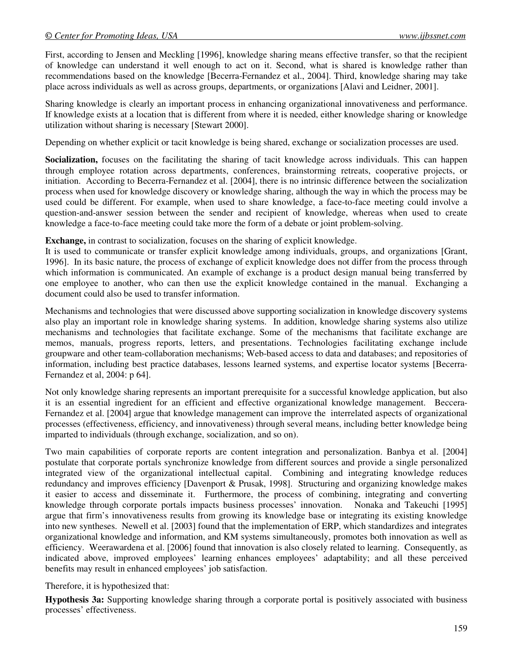First, according to Jensen and Meckling [1996], knowledge sharing means effective transfer, so that the recipient of knowledge can understand it well enough to act on it. Second, what is shared is knowledge rather than recommendations based on the knowledge [Becerra-Fernandez et al., 2004]. Third, knowledge sharing may take place across individuals as well as across groups, departments, or organizations [Alavi and Leidner, 2001].

Sharing knowledge is clearly an important process in enhancing organizational innovativeness and performance. If knowledge exists at a location that is different from where it is needed, either knowledge sharing or knowledge utilization without sharing is necessary [Stewart 2000].

Depending on whether explicit or tacit knowledge is being shared, exchange or socialization processes are used.

**Socialization,** focuses on the facilitating the sharing of tacit knowledge across individuals. This can happen through employee rotation across departments, conferences, brainstorming retreats, cooperative projects, or initiation. According to Becerra-Fernandez et al. [2004], there is no intrinsic difference between the socialization process when used for knowledge discovery or knowledge sharing, although the way in which the process may be used could be different. For example, when used to share knowledge, a face-to-face meeting could involve a question-and-answer session between the sender and recipient of knowledge, whereas when used to create knowledge a face-to-face meeting could take more the form of a debate or joint problem-solving.

**Exchange,** in contrast to socialization, focuses on the sharing of explicit knowledge.

It is used to communicate or transfer explicit knowledge among individuals, groups, and organizations [Grant, 1996]. In its basic nature, the process of exchange of explicit knowledge does not differ from the process through which information is communicated. An example of exchange is a product design manual being transferred by one employee to another, who can then use the explicit knowledge contained in the manual. Exchanging a document could also be used to transfer information.

Mechanisms and technologies that were discussed above supporting socialization in knowledge discovery systems also play an important role in knowledge sharing systems. In addition, knowledge sharing systems also utilize mechanisms and technologies that facilitate exchange. Some of the mechanisms that facilitate exchange are memos, manuals, progress reports, letters, and presentations. Technologies facilitating exchange include groupware and other team-collaboration mechanisms; Web-based access to data and databases; and repositories of information, including best practice databases, lessons learned systems, and expertise locator systems [Becerra-Fernandez et al, 2004: p 64].

Not only knowledge sharing represents an important prerequisite for a successful knowledge application, but also it is an essential ingredient for an efficient and effective organizational knowledge management. Beccera-Fernandez et al. [2004] argue that knowledge management can improve the interrelated aspects of organizational processes (effectiveness, efficiency, and innovativeness) through several means, including better knowledge being imparted to individuals (through exchange, socialization, and so on).

Two main capabilities of corporate reports are content integration and personalization. Banbya et al. [2004] postulate that corporate portals synchronize knowledge from different sources and provide a single personalized integrated view of the organizational intellectual capital. Combining and integrating knowledge reduces redundancy and improves efficiency [Davenport & Prusak, 1998]. Structuring and organizing knowledge makes it easier to access and disseminate it. Furthermore, the process of combining, integrating and converting knowledge through corporate portals impacts business processes' innovation. Nonaka and Takeuchi [1995] argue that firm's innovativeness results from growing its knowledge base or integrating its existing knowledge into new syntheses. Newell et al. [2003] found that the implementation of ERP, which standardizes and integrates organizational knowledge and information, and KM systems simultaneously, promotes both innovation as well as efficiency. Weerawardena et al. [2006] found that innovation is also closely related to learning. Consequently, as indicated above, improved employees' learning enhances employees' adaptability; and all these perceived benefits may result in enhanced employees' job satisfaction.

Therefore, it is hypothesized that:

**Hypothesis 3a:** Supporting knowledge sharing through a corporate portal is positively associated with business processes' effectiveness.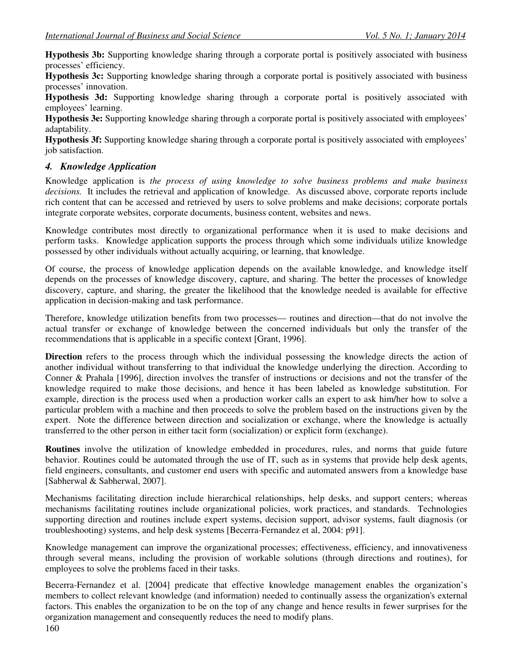**Hypothesis 3b:** Supporting knowledge sharing through a corporate portal is positively associated with business processes' efficiency.

**Hypothesis 3c:** Supporting knowledge sharing through a corporate portal is positively associated with business processes' innovation.

**Hypothesis 3d:** Supporting knowledge sharing through a corporate portal is positively associated with employees' learning.

**Hypothesis 3e:** Supporting knowledge sharing through a corporate portal is positively associated with employees' adaptability.

**Hypothesis 3f:** Supporting knowledge sharing through a corporate portal is positively associated with employees' job satisfaction.

## *4. Knowledge Application*

Knowledge application is *the process of using knowledge to solve business problems and make business decisions.* It includes the retrieval and application of knowledge. As discussed above, corporate reports include rich content that can be accessed and retrieved by users to solve problems and make decisions; corporate portals integrate corporate websites, corporate documents, business content, websites and news.

Knowledge contributes most directly to organizational performance when it is used to make decisions and perform tasks. Knowledge application supports the process through which some individuals utilize knowledge possessed by other individuals without actually acquiring, or learning, that knowledge.

Of course, the process of knowledge application depends on the available knowledge, and knowledge itself depends on the processes of knowledge discovery, capture, and sharing. The better the processes of knowledge discovery, capture, and sharing, the greater the likelihood that the knowledge needed is available for effective application in decision-making and task performance.

Therefore, knowledge utilization benefits from two processes— routines and direction—that do not involve the actual transfer or exchange of knowledge between the concerned individuals but only the transfer of the recommendations that is applicable in a specific context [Grant, 1996].

**Direction** refers to the process through which the individual possessing the knowledge directs the action of another individual without transferring to that individual the knowledge underlying the direction. According to Conner & Prahala [1996], direction involves the transfer of instructions or decisions and not the transfer of the knowledge required to make those decisions, and hence it has been labeled as knowledge substitution. For example, direction is the process used when a production worker calls an expert to ask him/her how to solve a particular problem with a machine and then proceeds to solve the problem based on the instructions given by the expert. Note the difference between direction and socialization or exchange, where the knowledge is actually transferred to the other person in either tacit form (socialization) or explicit form (exchange).

**Routines** involve the utilization of knowledge embedded in procedures, rules, and norms that guide future behavior. Routines could be automated through the use of IT, such as in systems that provide help desk agents, field engineers, consultants, and customer end users with specific and automated answers from a knowledge base [Sabherwal & Sabherwal, 2007].

Mechanisms facilitating direction include hierarchical relationships, help desks, and support centers; whereas mechanisms facilitating routines include organizational policies, work practices, and standards. Technologies supporting direction and routines include expert systems, decision support, advisor systems, fault diagnosis (or troubleshooting) systems, and help desk systems [Becerra-Fernandez et al, 2004: p91].

Knowledge management can improve the organizational processes; effectiveness, efficiency, and innovativeness through several means, including the provision of workable solutions (through directions and routines), for employees to solve the problems faced in their tasks.

Becerra-Fernandez et al. [2004] predicate that effective knowledge management enables the organization's members to collect relevant knowledge (and information) needed to continually assess the organization's external factors. This enables the organization to be on the top of any change and hence results in fewer surprises for the organization management and consequently reduces the need to modify plans.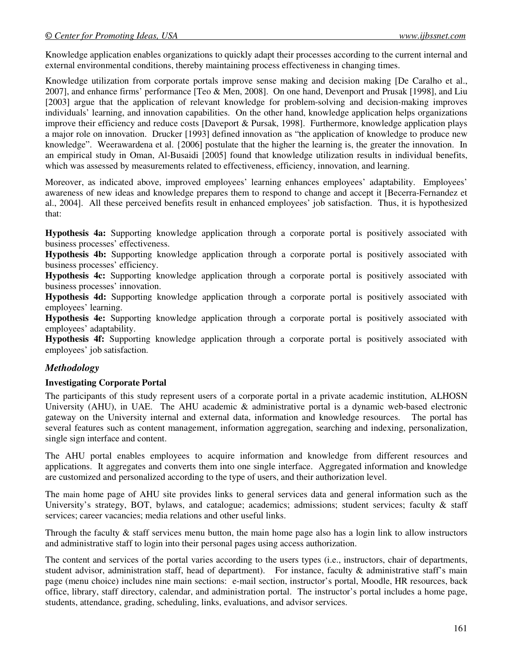Knowledge application enables organizations to quickly adapt their processes according to the current internal and external environmental conditions, thereby maintaining process effectiveness in changing times.

Knowledge utilization from corporate portals improve sense making and decision making [De Caralho et al., 2007], and enhance firms' performance [Teo & Men, 2008]. On one hand, Devenport and Prusak [1998], and Liu [2003] argue that the application of relevant knowledge for problem-solving and decision-making improves individuals' learning, and innovation capabilities. On the other hand, knowledge application helps organizations improve their efficiency and reduce costs [Daveport & Pursak, 1998]. Furthermore, knowledge application plays a major role on innovation. Drucker [1993] defined innovation as "the application of knowledge to produce new knowledge". Weerawardena et al. {2006] postulate that the higher the learning is, the greater the innovation. In an empirical study in Oman, Al-Busaidi [2005] found that knowledge utilization results in individual benefits, which was assessed by measurements related to effectiveness, efficiency, innovation, and learning.

Moreover, as indicated above, improved employees' learning enhances employees' adaptability. Employees' awareness of new ideas and knowledge prepares them to respond to change and accept it [Becerra-Fernandez et al., 2004]. All these perceived benefits result in enhanced employees' job satisfaction. Thus, it is hypothesized that:

**Hypothesis 4a:** Supporting knowledge application through a corporate portal is positively associated with business processes' effectiveness.

**Hypothesis 4b:** Supporting knowledge application through a corporate portal is positively associated with business processes' efficiency.

**Hypothesis 4c:** Supporting knowledge application through a corporate portal is positively associated with business processes' innovation.

**Hypothesis 4d:** Supporting knowledge application through a corporate portal is positively associated with employees' learning.

**Hypothesis 4e:** Supporting knowledge application through a corporate portal is positively associated with employees' adaptability.

**Hypothesis 4f:** Supporting knowledge application through a corporate portal is positively associated with employees' job satisfaction.

## *Methodology*

#### **Investigating Corporate Portal**

The participants of this study represent users of a corporate portal in a private academic institution, ALHOSN University (AHU), in UAE. The AHU academic & administrative portal is a dynamic web-based electronic gateway on the University internal and external data, information and knowledge resources. The portal has several features such as content management, information aggregation, searching and indexing, personalization, single sign interface and content.

The AHU portal enables employees to acquire information and knowledge from different resources and applications. It aggregates and converts them into one single interface. Aggregated information and knowledge are customized and personalized according to the type of users, and their authorization level.

The main home page of AHU site provides links to general services data and general information such as the University's strategy, BOT, bylaws, and catalogue; academics; admissions; student services; faculty  $\&$  staff services; career vacancies; media relations and other useful links.

Through the faculty & staff services menu button, the main home page also has a login link to allow instructors and administrative staff to login into their personal pages using access authorization.

The content and services of the portal varies according to the users types (i.e., instructors, chair of departments, student advisor, administration staff, head of department). For instance, faculty  $\&$  administrative staff's main page (menu choice) includes nine main sections: e-mail section, instructor's portal, Moodle, HR resources, back office, library, staff directory, calendar, and administration portal. The instructor's portal includes a home page, students, attendance, grading, scheduling, links, evaluations, and advisor services.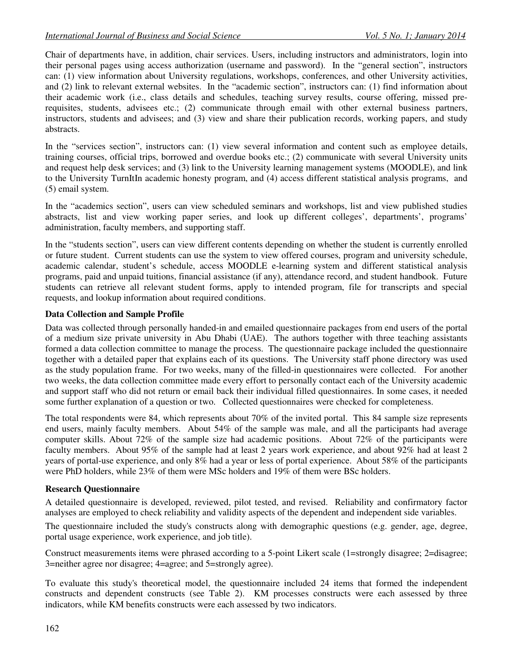Chair of departments have, in addition, chair services. Users, including instructors and administrators, login into their personal pages using access authorization (username and password). In the "general section", instructors can: (1) view information about University regulations, workshops, conferences, and other University activities, and (2) link to relevant external websites. In the "academic section", instructors can: (1) find information about their academic work (i.e., class details and schedules, teaching survey results, course offering, missed prerequisites, students, advisees etc.; (2) communicate through email with other external business partners, instructors, students and advisees; and (3) view and share their publication records, working papers, and study abstracts.

In the "services section", instructors can: (1) view several information and content such as employee details, training courses, official trips, borrowed and overdue books etc.; (2) communicate with several University units and request help desk services; and (3) link to the University learning management systems (MOODLE), and link to the University TurnItIn academic honesty program, and (4) access different statistical analysis programs, and (5) email system.

In the "academics section", users can view scheduled seminars and workshops, list and view published studies abstracts, list and view working paper series, and look up different colleges', departments', programs' administration, faculty members, and supporting staff.

In the "students section", users can view different contents depending on whether the student is currently enrolled or future student. Current students can use the system to view offered courses, program and university schedule, academic calendar, student's schedule, access MOODLE e-learning system and different statistical analysis programs, paid and unpaid tuitions, financial assistance (if any), attendance record, and student handbook. Future students can retrieve all relevant student forms, apply to intended program, file for transcripts and special requests, and lookup information about required conditions.

### **Data Collection and Sample Profile**

Data was collected through personally handed-in and emailed questionnaire packages from end users of the portal of a medium size private university in Abu Dhabi (UAE). The authors together with three teaching assistants formed a data collection committee to manage the process. The questionnaire package included the questionnaire together with a detailed paper that explains each of its questions. The University staff phone directory was used as the study population frame. For two weeks, many of the filled-in questionnaires were collected. For another two weeks, the data collection committee made every effort to personally contact each of the University academic and support staff who did not return or email back their individual filled questionnaires. In some cases, it needed some further explanation of a question or two. Collected questionnaires were checked for completeness.

The total respondents were 84, which represents about 70% of the invited portal. This 84 sample size represents end users, mainly faculty members. About 54% of the sample was male, and all the participants had average computer skills. About 72% of the sample size had academic positions. About 72% of the participants were faculty members. About 95% of the sample had at least 2 years work experience, and about 92% had at least 2 years of portal-use experience, and only 8% had a year or less of portal experience. About 58% of the participants were PhD holders, while 23% of them were MSc holders and 19% of them were BSc holders.

#### **Research Questionnaire**

A detailed questionnaire is developed, reviewed, pilot tested, and revised. Reliability and confirmatory factor analyses are employed to check reliability and validity aspects of the dependent and independent side variables.

The questionnaire included the study's constructs along with demographic questions (e.g. gender, age, degree, portal usage experience, work experience, and job title).

Construct measurements items were phrased according to a 5-point Likert scale (1=strongly disagree; 2=disagree; 3=neither agree nor disagree; 4=agree; and 5=strongly agree).

To evaluate this study's theoretical model, the questionnaire included 24 items that formed the independent constructs and dependent constructs (see Table 2). KM processes constructs were each assessed by three indicators, while KM benefits constructs were each assessed by two indicators.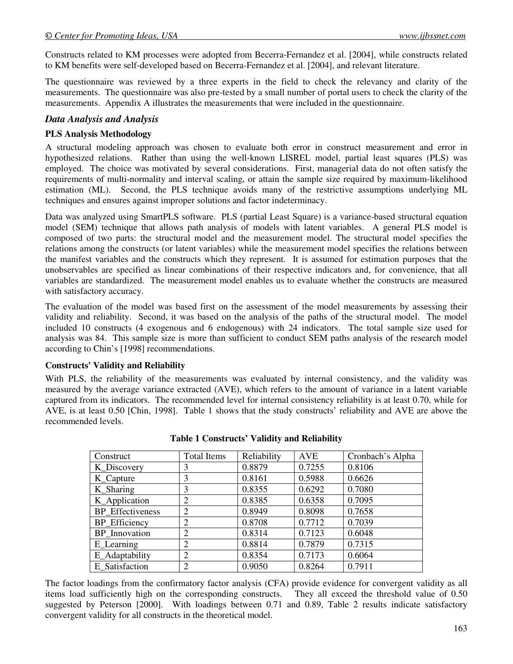Constructs related to KM processes were adopted from Becerra-Fernandez et al. [2004], while constructs related to KM benefits were self-developed based on Becerra-Fernandez et al. [2004], and relevant literature.

The questionnaire was reviewed by a three experts in the field to check the relevancy and clarity of the measurements. The questionnaire was also pre-tested by a small number of portal users to check the clarity of the measurements. Appendix A illustrates the measurements that were included in the questionnaire.

## *Data Analysis and Analysis*

## **PLS Analysis Methodology**

A structural modeling approach was chosen to evaluate both error in construct measurement and error in hypothesized relations. Rather than using the well-known LISREL model, partial least squares (PLS) was employed. The choice was motivated by several considerations. First, managerial data do not often satisfy the requirements of multi-normality and interval scaling, or attain the sample size required by maximum-likelihood estimation (ML). Second, the PLS technique avoids many of the restrictive assumptions underlying ML techniques and ensures against improper solutions and factor indeterminacy.

Data was analyzed using SmartPLS software. PLS (partial Least Square) is a variance-based structural equation model (SEM) technique that allows path analysis of models with latent variables. A general PLS model is composed of two parts: the structural model and the measurement model. The structural model specifies the relations among the constructs (or latent variables) while the measurement model specifies the relations between the manifest variables and the constructs which they represent. It is assumed for estimation purposes that the unobservables are specified as linear combinations of their respective indicators and, for convenience, that all variables are standardized. The measurement model enables us to evaluate whether the constructs are measured with satisfactory accuracy.

The evaluation of the model was based first on the assessment of the model measurements by assessing their validity and reliability. Second, it was based on the analysis of the paths of the structural model. The model included 10 constructs (4 exogenous and 6 endogenous) with 24 indicators. The total sample size used for analysis was 84. This sample size is more than sufficient to conduct SEM paths analysis of the research model according to Chin's [1998] recommendations.

## **Constructs' Validity and Reliability**

With PLS, the reliability of the measurements was evaluated by internal consistency, and the validity was measured by the average variance extracted (AVE), which refers to the amount of variance in a latent variable captured from its indicators. The recommended level for internal consistency reliability is at least 0.70, while for AVE, is at least 0.50 [Chin, 1998]. Table 1 shows that the study constructs' reliability and AVE are above the recommended levels.

| Construct               | <b>Total Items</b> | Reliability | <b>AVE</b> | Cronbach's Alpha |
|-------------------------|--------------------|-------------|------------|------------------|
| K_Discovery             | 3                  | 0.8879      | 0.7255     | 0.8106           |
| K_Capture               | 3                  | 0.8161      | 0.5988     | 0.6626           |
| K Sharing               | 3                  | 0.8355      | 0.6292     | 0.7080           |
| K_Application           | $\overline{2}$     | 0.8385      | 0.6358     | 0.7095           |
| <b>BP</b> Effectiveness | $\overline{2}$     | 0.8949      | 0.8098     | 0.7658           |
| BP_Efficiency           | 2                  | 0.8708      | 0.7712     | 0.7039           |
| BP Innovation           | $\overline{2}$     | 0.8314      | 0.7123     | 0.6048           |
| E_Learning              | $\overline{2}$     | 0.8814      | 0.7879     | 0.7315           |
| E_Adaptability          | 2                  | 0.8354      | 0.7173     | 0.6064           |
| E Satisfaction          | $\overline{2}$     | 0.9050      | 0.8264     | 0.7911           |

|  | <b>Table 1 Constructs' Validity and Reliability</b> |  |  |  |
|--|-----------------------------------------------------|--|--|--|
|--|-----------------------------------------------------|--|--|--|

The factor loadings from the confirmatory factor analysis (CFA) provide evidence for convergent validity as all items load sufficiently high on the corresponding constructs. They all exceed the threshold value of 0.50 suggested by Peterson [2000]. With loadings between 0.71 and 0.89, Table 2 results indicate satisfactory convergent validity for all constructs in the theoretical model.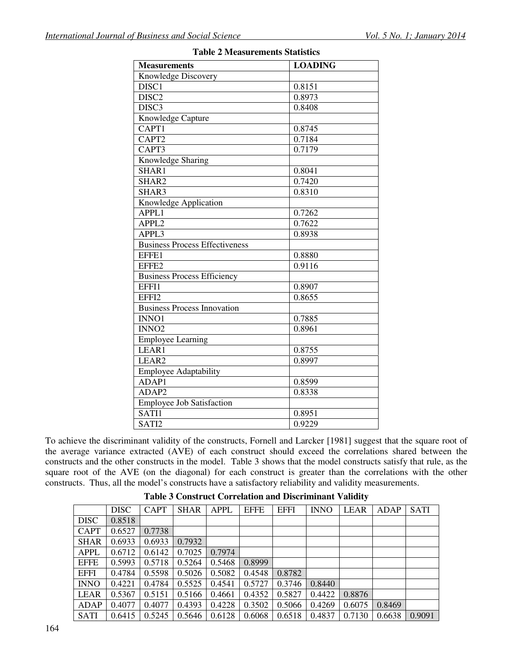| <b>Measurements</b>                   | <b>LOADING</b> |  |  |  |  |
|---------------------------------------|----------------|--|--|--|--|
| Knowledge Discovery                   |                |  |  |  |  |
| DISC <sub>1</sub>                     | 0.8151         |  |  |  |  |
| DISC <sub>2</sub>                     | 0.8973         |  |  |  |  |
| DISC <sub>3</sub>                     | 0.8408         |  |  |  |  |
| Knowledge Capture                     |                |  |  |  |  |
| CAPT1                                 | 0.8745         |  |  |  |  |
| CAPT2                                 | 0.7184         |  |  |  |  |
| CAPT3                                 | 0.7179         |  |  |  |  |
| Knowledge Sharing                     |                |  |  |  |  |
| SHAR1                                 | 0.8041         |  |  |  |  |
| SHAR2                                 | 0.7420         |  |  |  |  |
| SHAR3                                 | 0.8310         |  |  |  |  |
| Knowledge Application                 |                |  |  |  |  |
| APPL1                                 | 0.7262         |  |  |  |  |
| APPL <sub>2</sub>                     | 0.7622         |  |  |  |  |
| APPL3                                 | 0.8938         |  |  |  |  |
| <b>Business Process Effectiveness</b> |                |  |  |  |  |
| EFFE1                                 | 0.8880         |  |  |  |  |
| EFFE2                                 | 0.9116         |  |  |  |  |
| <b>Business Process Efficiency</b>    |                |  |  |  |  |
| EFFI1                                 | 0.8907         |  |  |  |  |
| EFFI2                                 | 0.8655         |  |  |  |  |
| <b>Business Process Innovation</b>    |                |  |  |  |  |
| INNO1                                 | 0.7885         |  |  |  |  |
| INNO <sub>2</sub>                     | 0.8961         |  |  |  |  |
| <b>Employee Learning</b>              |                |  |  |  |  |
| LEAR1                                 | 0.8755         |  |  |  |  |
| LEAR <sub>2</sub>                     | 0.8997         |  |  |  |  |
| <b>Employee Adaptability</b>          |                |  |  |  |  |
| ADAP1                                 | 0.8599         |  |  |  |  |
| ADAP2                                 | 0.8338         |  |  |  |  |
| <b>Employee Job Satisfaction</b>      |                |  |  |  |  |
| SATI1                                 | 0.8951         |  |  |  |  |
| SATI2                                 | 0.9229         |  |  |  |  |

#### **Table 2 Measurements Statistics**

To achieve the discriminant validity of the constructs, Fornell and Larcker [1981] suggest that the square root of the average variance extracted (AVE) of each construct should exceed the correlations shared between the constructs and the other constructs in the model. Table 3 shows that the model constructs satisfy that rule, as the square root of the AVE (on the diagonal) for each construct is greater than the correlations with the other constructs. Thus, all the model's constructs have a satisfactory reliability and validity measurements.

|             | <b>DISC</b> | <b>CAPT</b> | <b>SHAR</b> | <b>APPL</b> | <b>EFFE</b> | <b>EFFI</b> | <b>INNO</b> | <b>LEAR</b> | ADAP   | <b>SATI</b> |
|-------------|-------------|-------------|-------------|-------------|-------------|-------------|-------------|-------------|--------|-------------|
| <b>DISC</b> | 0.8518      |             |             |             |             |             |             |             |        |             |
| <b>CAPT</b> | 0.6527      | 0.7738      |             |             |             |             |             |             |        |             |
| <b>SHAR</b> | 0.6933      | 0.6933      | 0.7932      |             |             |             |             |             |        |             |
| <b>APPL</b> | 0.6712      | 0.6142      | 0.7025      | 0.7974      |             |             |             |             |        |             |
| <b>EFFE</b> | 0.5993      | 0.5718      | 0.5264      | 0.5468      | 0.8999      |             |             |             |        |             |
| <b>EFFI</b> | 0.4784      | 0.5598      | 0.5026      | 0.5082      | 0.4548      | 0.8782      |             |             |        |             |
| <b>INNO</b> | 0.4221      | 0.4784      | 0.5525      | 0.4541      | 0.5727      | 0.3746      | 0.8440      |             |        |             |
| <b>LEAR</b> | 0.5367      | 0.5151      | 0.5166      | 0.4661      | 0.4352      | 0.5827      | 0.4422      | 0.8876      |        |             |
| ADAP        | 0.4077      | 0.4077      | 0.4393      | 0.4228      | 0.3502      | 0.5066      | 0.4269      | 0.6075      | 0.8469 |             |
| <b>SATI</b> | 0.6415      | 0.5245      | 0.5646      | 0.6128      | 0.6068      | 0.6518      | 0.4837      | 0.7130      | 0.6638 | 0.9091      |

**Table 3 Construct Correlation and Discriminant Validity**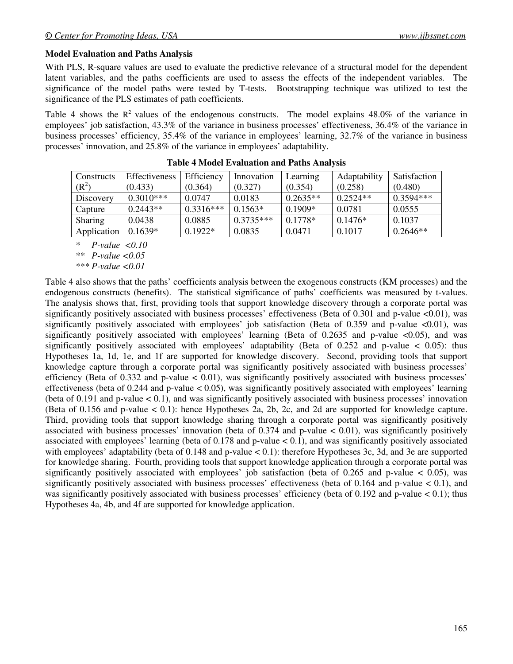#### **Model Evaluation and Paths Analysis**

With PLS, R-square values are used to evaluate the predictive relevance of a structural model for the dependent latent variables, and the paths coefficients are used to assess the effects of the independent variables. The significance of the model paths were tested by T-tests. Bootstrapping technique was utilized to test the significance of the PLS estimates of path coefficients.

Table 4 shows the  $R^2$  values of the endogenous constructs. The model explains 48.0% of the variance in employees' job satisfaction, 43.3% of the variance in business processes' effectiveness, 36.4% of the variance in business processes' efficiency, 35.4% of the variance in employees' learning, 32.7% of the variance in business processes' innovation, and 25.8% of the variance in employees' adaptability.

| Constructs     | Effectiveness | Efficiency  | Innovation  | Learning   | Adaptability | Satisfaction |
|----------------|---------------|-------------|-------------|------------|--------------|--------------|
| $(R^2)$        | (0.433)       | (0.364)     | (0.327)     | (0.354)    | (0.258)      | (0.480)      |
| Discovery      | $0.3010***$   | 0.0747      | 0.0183      | $0.2635**$ | $0.2524**$   | $0.3594***$  |
| Capture        | $0.2443**$    | $0.3316***$ | $0.1563*$   | $0.1909*$  | 0.0781       | 0.0555       |
| <b>Sharing</b> | 0.0438        | 0.0885      | $0.3735***$ | $0.1778*$  | $0.1476*$    | 0.1037       |
| Application    | $0.1639*$     | $0.1922*$   | 0.0835      | 0.0471     | 0.1017       | $0.2646**$   |

**Table 4 Model Evaluation and Paths Analysis** 

*\* P-value <0.10* 

*\*\* P-value <0.05* 

*\*\*\* P-value <0.01* 

Table 4 also shows that the paths' coefficients analysis between the exogenous constructs (KM processes) and the endogenous constructs (benefits). The statistical significance of paths' coefficients was measured by t-values. The analysis shows that, first, providing tools that support knowledge discovery through a corporate portal was significantly positively associated with business processes' effectiveness (Beta of 0.301 and p-value <0.01), was significantly positively associated with employees' job satisfaction (Beta of 0.359 and p-value  $\langle 0.01 \rangle$ , was significantly positively associated with employees' learning (Beta of  $0.2635$  and p-value <0.05), and was significantly positively associated with employees' adaptability (Beta of 0.252 and p-value < 0.05): thus Hypotheses 1a, 1d, 1e, and 1f are supported for knowledge discovery. Second, providing tools that support knowledge capture through a corporate portal was significantly positively associated with business processes' efficiency (Beta of  $0.332$  and p-value  $< 0.01$ ), was significantly positively associated with business processes' effectiveness (beta of 0.244 and p-value  $\lt$  0.05), was significantly positively associated with employees' learning (beta of 0.191 and p-value  $< 0.1$ ), and was significantly positively associated with business processes' innovation (Beta of 0.156 and p-value < 0.1): hence Hypotheses 2a, 2b, 2c, and 2d are supported for knowledge capture. Third, providing tools that support knowledge sharing through a corporate portal was significantly positively associated with business processes' innovation (beta of 0.374 and p-value  $< 0.01$ ), was significantly positively associated with employees' learning (beta of  $0.178$  and p-value  $< 0.1$ ), and was significantly positively associated with employees' adaptability (beta of 0.148 and p-value < 0.1): therefore Hypotheses 3c, 3d, and 3e are supported for knowledge sharing. Fourth, providing tools that support knowledge application through a corporate portal was significantly positively associated with employees' job satisfaction (beta of  $0.265$  and p-value < 0.05), was significantly positively associated with business processes' effectiveness (beta of 0.164 and p-value < 0.1), and was significantly positively associated with business processes' efficiency (beta of 0.192 and p-value  $< 0.1$ ); thus Hypotheses 4a, 4b, and 4f are supported for knowledge application.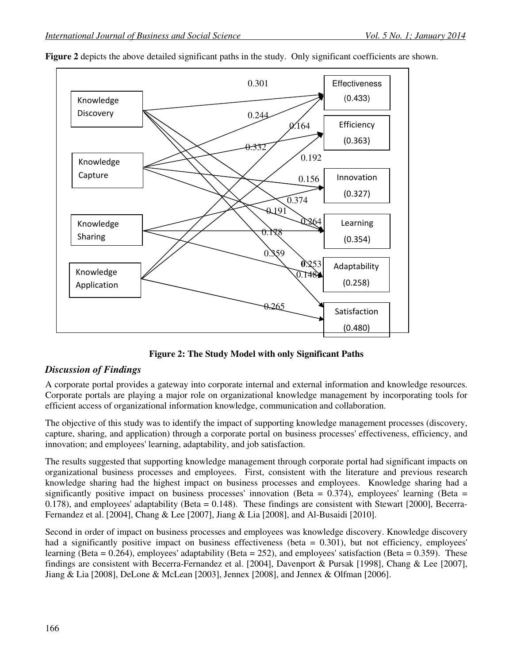

**Figure 2** depicts the above detailed significant paths in the study. Only significant coefficients are shown.

**Figure 2: The Study Model with only Significant Paths** 

## *Discussion of Findings*

A corporate portal provides a gateway into corporate internal and external information and knowledge resources. Corporate portals are playing a major role on organizational knowledge management by incorporating tools for efficient access of organizational information knowledge, communication and collaboration.

The objective of this study was to identify the impact of supporting knowledge management processes (discovery, capture, sharing, and application) through a corporate portal on business processes' effectiveness, efficiency, and innovation; and employees' learning, adaptability, and job satisfaction.

The results suggested that supporting knowledge management through corporate portal had significant impacts on organizational business processes and employees. First, consistent with the literature and previous research knowledge sharing had the highest impact on business processes and employees. Knowledge sharing had a significantly positive impact on business processes' innovation (Beta =  $0.374$ ), employees' learning (Beta = 0.178), and employees' adaptability (Beta  $= 0.148$ ). These findings are consistent with Stewart [2000], Becerra-Fernandez et al. [2004], Chang & Lee [2007], Jiang & Lia [2008], and Al-Busaidi [2010].

Second in order of impact on business processes and employees was knowledge discovery. Knowledge discovery had a significantly positive impact on business effectiveness (beta = 0.301), but not efficiency, employees' learning (Beta =  $0.264$ ), employees' adaptability (Beta =  $252$ ), and employees' satisfaction (Beta =  $0.359$ ). These findings are consistent with Becerra-Fernandez et al. [2004], Davenport & Pursak [1998], Chang & Lee [2007], Jiang & Lia [2008], DeLone & McLean [2003], Jennex [2008], and Jennex & Olfman [2006].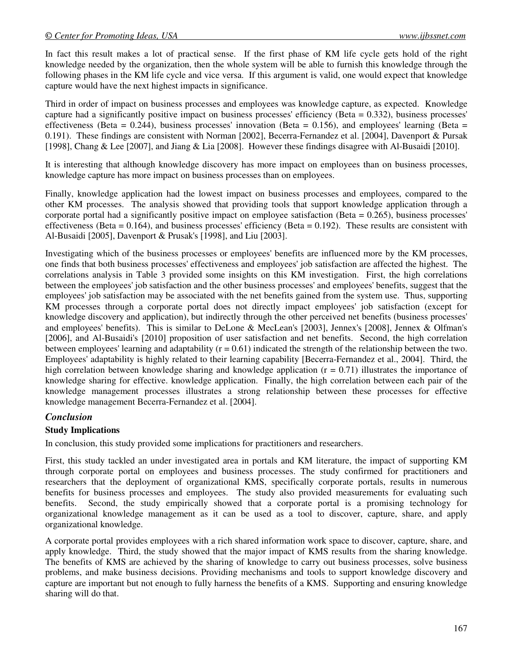In fact this result makes a lot of practical sense. If the first phase of KM life cycle gets hold of the right knowledge needed by the organization, then the whole system will be able to furnish this knowledge through the following phases in the KM life cycle and vice versa. If this argument is valid, one would expect that knowledge capture would have the next highest impacts in significance.

Third in order of impact on business processes and employees was knowledge capture, as expected. Knowledge capture had a significantly positive impact on business processes' efficiency (Beta = 0.332), business processes' effectiveness (Beta = 0.244), business processes' innovation (Beta = 0.156), and employees' learning (Beta = 0.191). These findings are consistent with Norman [2002], Becerra-Fernandez et al. [2004], Davenport & Pursak [1998], Chang & Lee [2007], and Jiang & Lia [2008]. However these findings disagree with Al-Busaidi [2010].

It is interesting that although knowledge discovery has more impact on employees than on business processes, knowledge capture has more impact on business processes than on employees.

Finally, knowledge application had the lowest impact on business processes and employees, compared to the other KM processes. The analysis showed that providing tools that support knowledge application through a corporate portal had a significantly positive impact on employee satisfaction (Beta = 0.265), business processes' effectiveness (Beta =  $0.164$ ), and business processes' efficiency (Beta =  $0.192$ ). These results are consistent with Al-Busaidi [2005], Davenport & Prusak's [1998], and Liu [2003].

Investigating which of the business processes or employees' benefits are influenced more by the KM processes, one finds that both business processes' effectiveness and employees' job satisfaction are affected the highest. The correlations analysis in Table 3 provided some insights on this KM investigation. First, the high correlations between the employees' job satisfaction and the other business processes' and employees' benefits, suggest that the employees' job satisfaction may be associated with the net benefits gained from the system use. Thus, supporting KM processes through a corporate portal does not directly impact employees' job satisfaction (except for knowledge discovery and application), but indirectly through the other perceived net benefits (business processes' and employees' benefits). This is similar to DeLone & MecLean's [2003], Jennex's [2008], Jennex & Olfman's [2006], and Al-Busaidi's [2010] proposition of user satisfaction and net benefits. Second, the high correlation between employees' learning and adaptability  $(r = 0.61)$  indicated the strength of the relationship between the two. Employees' adaptability is highly related to their learning capability [Becerra-Fernandez et al., 2004]. Third, the high correlation between knowledge sharing and knowledge application  $(r = 0.71)$  illustrates the importance of knowledge sharing for effective. knowledge application. Finally, the high correlation between each pair of the knowledge management processes illustrates a strong relationship between these processes for effective knowledge management Becerra-Fernandez et al. [2004].

## *Conclusion*

## **Study Implications**

In conclusion, this study provided some implications for practitioners and researchers.

First, this study tackled an under investigated area in portals and KM literature, the impact of supporting KM through corporate portal on employees and business processes. The study confirmed for practitioners and researchers that the deployment of organizational KMS, specifically corporate portals, results in numerous benefits for business processes and employees. The study also provided measurements for evaluating such benefits. Second, the study empirically showed that a corporate portal is a promising technology for organizational knowledge management as it can be used as a tool to discover, capture, share, and apply organizational knowledge.

A corporate portal provides employees with a rich shared information work space to discover, capture, share, and apply knowledge. Third, the study showed that the major impact of KMS results from the sharing knowledge. The benefits of KMS are achieved by the sharing of knowledge to carry out business processes, solve business problems, and make business decisions. Providing mechanisms and tools to support knowledge discovery and capture are important but not enough to fully harness the benefits of a KMS. Supporting and ensuring knowledge sharing will do that.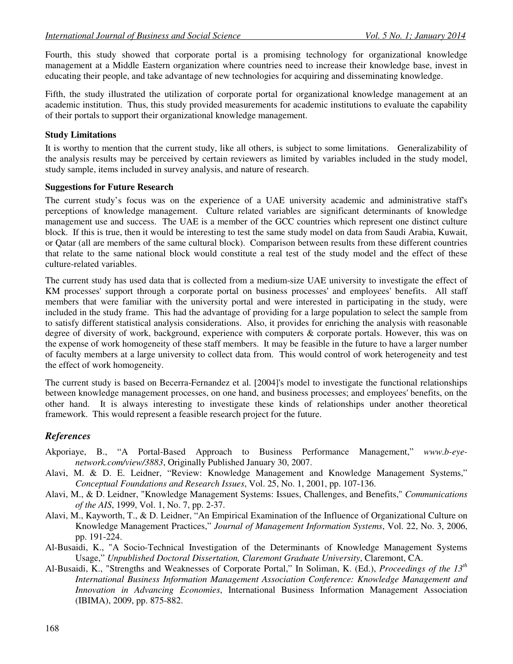Fourth, this study showed that corporate portal is a promising technology for organizational knowledge management at a Middle Eastern organization where countries need to increase their knowledge base, invest in educating their people, and take advantage of new technologies for acquiring and disseminating knowledge.

Fifth, the study illustrated the utilization of corporate portal for organizational knowledge management at an academic institution. Thus, this study provided measurements for academic institutions to evaluate the capability of their portals to support their organizational knowledge management.

#### **Study Limitations**

It is worthy to mention that the current study, like all others, is subject to some limitations. Generalizability of the analysis results may be perceived by certain reviewers as limited by variables included in the study model, study sample, items included in survey analysis, and nature of research.

#### **Suggestions for Future Research**

The current study's focus was on the experience of a UAE university academic and administrative staff's perceptions of knowledge management. Culture related variables are significant determinants of knowledge management use and success. The UAE is a member of the GCC countries which represent one distinct culture block. If this is true, then it would be interesting to test the same study model on data from Saudi Arabia, Kuwait, or Qatar (all are members of the same cultural block). Comparison between results from these different countries that relate to the same national block would constitute a real test of the study model and the effect of these culture-related variables.

The current study has used data that is collected from a medium-size UAE university to investigate the effect of KM processes' support through a corporate portal on business processes' and employees' benefits. All staff members that were familiar with the university portal and were interested in participating in the study, were included in the study frame. This had the advantage of providing for a large population to select the sample from to satisfy different statistical analysis considerations. Also, it provides for enriching the analysis with reasonable degree of diversity of work, background, experience with computers & corporate portals. However, this was on the expense of work homogeneity of these staff members. It may be feasible in the future to have a larger number of faculty members at a large university to collect data from. This would control of work heterogeneity and test the effect of work homogeneity.

The current study is based on Becerra-Fernandez et al. [2004]'s model to investigate the functional relationships between knowledge management processes, on one hand, and business processes; and employees' benefits, on the other hand. It is always interesting to investigate these kinds of relationships under another theoretical framework. This would represent a feasible research project for the future.

## *References*

- Akporiaye, B., "A Portal-Based Approach to Business Performance Management," *www.b-eyenetwork.com/view/3883*, Originally Published January 30, 2007.
- Alavi, M. & D. E. Leidner, "Review: Knowledge Management and Knowledge Management Systems," *Conceptual Foundations and Research Issues*, Vol. 25, No. 1, 2001, pp. 107-136.
- Alavi, M., & D. Leidner, "Knowledge Management Systems: Issues, Challenges, and Benefits," *Communications of the AIS*, 1999, Vol. 1, No. 7, pp. 2-37.
- Alavi, M., Kayworth, T., & D. Leidner, "An Empirical Examination of the Influence of Organizational Culture on Knowledge Management Practices," *Journal of Management Information Systems*, Vol. 22, No. 3, 2006, pp. 191-224.
- Al-Busaidi, K., "A Socio-Technical Investigation of the Determinants of Knowledge Management Systems Usage," *Unpublished Doctoral Dissertation, Claremont Graduate University*, Claremont, CA.
- Al-Busaidi, K., "Strengths and Weaknesses of Corporate Portal," In Soliman, K. (Ed.), *Proceedings of the 13th International Business Information Management Association Conference: Knowledge Management and Innovation in Advancing Economies*, International Business Information Management Association (IBIMA), 2009, pp. 875-882.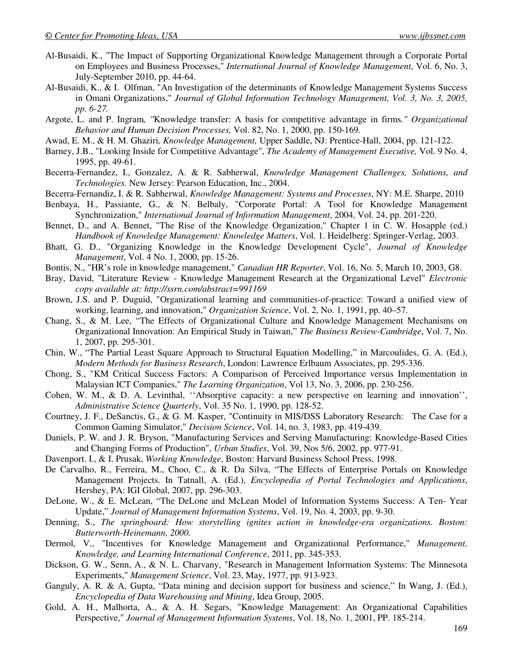- Al-Busaidi, K., "The Impact of Supporting Organizational Knowledge Management through a Corporate Portal on Employees and Business Processes," *International Journal of Knowledge Management*, Vol. 6, No. 3, July-September 2010, pp. 44-64.
- Al-Busaidi, K., & I. Olfman, "An Investigation of the determinants of Knowledge Management Systems Success in Omani Organizations," *Journal of Global Information Technology Management, Vol. 3, No. 3, 2005, pp. 6-27.*
- Argote, L. and P. Ingram*, "*Knowledge transfer: A basis for competitive advantage in firms*." Organizational Behavior and Human Decision Processes,* Vol. 82, No. 1, 2000, pp. 150-169*.*
- Awad, E. M., & H. M. Ghaziri*, Knowledge Management,* Upper Saddle, NJ: Prentice-Hall, 2004, pp. 121-122.
- Barney, J.B., "Looking Inside for Competitive Advantage", *The Academy of Management Executive,* Vol. 9 No. 4, 1995, pp. 49-61.
- Becerra-Fernandez, I., Gonzalez, A. & R. Sabherwal, *Knowledge Management Challenges, Solutions, and Technologies.* New Jersey: Pearson Education, Inc., 2004.
- Becerra-Fernandiz, I. & R. Sabherwal, *Knowledge Management: Systems and Processes*, NY: M.E. Sharpe, 2010
- Benbaya, H., Passiante, G., & N. Belbaly, "Corporate Portal: A Tool for Knowledge Management Synchronization," *International Journal of Information Management*, 2004, Vol. 24, pp. 201-220.
- Bennet, D., and A. Bennet, "The Rise of the Knowledge Organization," Chapter 1 in C. W. Hosapple (ed.) *Handbook of Knowledge Management: Knowledge Matters*, Vol. 1. Heidelberg: Springer-Verlag, 2003.
- Bhatt, G. D., "Organizing Knowledge in the Knowledge Development Cycle", *Journal of Knowledge Management*, Vol. 4 No. 1, 2000, pp. 15-26.
- Bontis, N., "HR's role in knowledge management," *Canadian HR Reporter*, Vol. 16, No. 5, March 10, 2003, G8.
- Bray, David, "Literature Review Knowledge Management Research at the Organizational Level" *Electronic copy available at: http://ssrn.com/abstract=991169*
- Brown, J.S. and P. Duguid, "Organizational learning and communities-of-practice: Toward a unified view of working, learning, and innovation," *Organization Science*, Vol. 2, No. 1, 1991, pp. 40–57.
- Chang, S., & M. Lee, "The Effects of Organizational Culture and Knowledge Management Mechanisms on Organizational Innovation: An Empirical Study in Taiwan," *The Business Review-Cambridge*, Vol. 7, No. 1, 2007, pp. 295-301.
- Chin, W., "The Partial Least Square Approach to Structural Equation Modelling," in Marcoulides, G. A. (Ed.), *Modern Methods for Business Research*, London: Lawrence Erlbaum Associates, pp. 295-336.
- Chong, S., "KM Critical Success Factors: A Comparison of Perceived Importance versus Implementation in Malaysian ICT Companies," *The Learning Organization*, Vol 13, No. 3, 2006, pp. 230-256.
- Cohen, W. M., & D. A. Levinthal, ''Absorptive capacity: a new perspective on learning and innovation'', *Administrative Science Quarterly*, Vol. 35 No. 1, 1990, pp. 128-52.
- Courtney, J. F., DeSanctis, G., & G. M. Kasper, "Continuity in MIS/DSS Laboratory Research: The Case for a Common Gaming Simulator," *Decision Science*, Vol. 14, no. 3, 1983, pp. 419-439.
- Daniels, P. W. and J. R. Bryson, "Manufacturing Services and Serving Manufacturing: Knowledge-Based Cities and Changing Forms of Production", *Urban Studies*, Vol. 39, Nos 5/6, 2002, pp. 977-91.
- Davenport. I., & I. Prusak, *Working Knowledge*, Boston: Harvard Business School Press, 1998.
- De Carvalho, R., Ferreira, M., Choo, C., & R. Da Silva, "The Effects of Enterprise Portals on Knowledge Management Projects. In Tatnall, A. (Ed.), *Encyclopedia of Portal Technologies and Applications*, Hershey, PA: IGI Global, 2007, pp. 296-303.
- DeLone, W., & E. McLean, "The DeLone and McLean Model of Information Systems Success: A Ten- Year Update," *Journal of Management Information Systems*, Vol. 19, No. 4, 2003, pp. 9-30.
- Denning, S., *The springboard: How storytelling ignites action in knowledge-era organizations. Boston: Butterworth-Heinemann, 2000.*
- Dermol, V., "Incentives for Knowledge Management and Organizational Performance," *Management, Knowledge, and Learning International Conference*, 2011, pp. 345-353.
- Dickson, G. W., Senn, A., & N. L. Charvany, "Research in Management Information Systems: The Minnesota Experiments," *Management Science*, Vol. 23, May, 1977, pp. 913-923.
- Ganguly, A. R. & A, Gupta, "Data mining and decision support for business and science," In Wang, J. (Ed.), *Encyclopedia of Data Warehousing and Mining*, Idea Group, 2005.
- Gold, A. H., Malhorta, A., & A. H. Segars, "Knowledge Management: An Organizational Capabilities Perspective," *Journal of Management Information Systems*, Vol. 18, No. 1, 2001, PP. 185-214.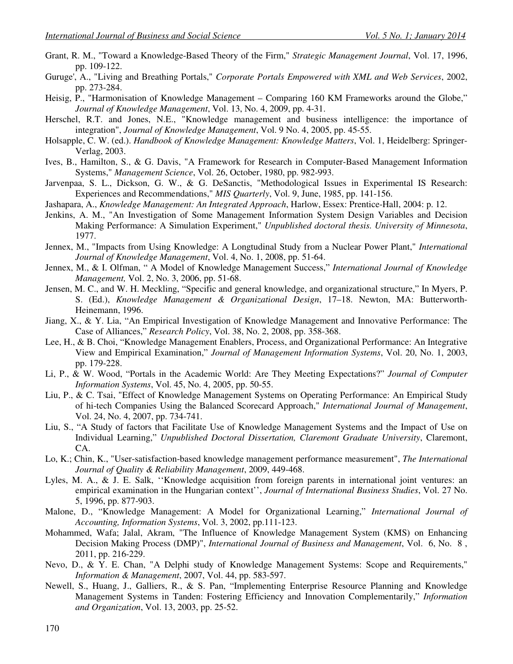- Grant, R. M., "Toward a Knowledge-Based Theory of the Firm," *Strategic Management Journal*, Vol. 17, 1996, pp. 109-122.
- Guruge', A., "Living and Breathing Portals," *Corporate Portals Empowered with XML and Web Services*, 2002, pp. 273-284.
- Heisig, P., "Harmonisation of Knowledge Management Comparing 160 KM Frameworks around the Globe," *Journal of Knowledge Management*, Vol. 13, No. 4, 2009, pp. 4-31.
- Herschel, R.T. and Jones, N.E., "Knowledge management and business intelligence: the importance of integration", *Journal of Knowledge Management*, Vol. 9 No. 4, 2005, pp. 45-55.
- Holsapple, C. W. (ed.). *Handbook of Knowledge Management: Knowledge Matters*, Vol. 1, Heidelberg: Springer-Verlag, 2003.
- Ives, B., Hamilton, S., & G. Davis, "A Framework for Research in Computer-Based Management Information Systems," *Management Science*, Vol. 26, October, 1980, pp. 982-993.
- Jarvenpaa, S. L., Dickson, G. W., & G. DeSanctis, "Methodological Issues in Experimental IS Research: Experiences and Recommendations," *MIS Quarterly*, Vol. 9, June, 1985, pp. 141-156.
- Jashapara, A., *Knowledge Management: An Integrated Approach*, Harlow, Essex: Prentice-Hall, 2004: p. 12.
- Jenkins, A. M., "An Investigation of Some Management Information System Design Variables and Decision Making Performance: A Simulation Experiment," *Unpublished doctoral thesis. University of Minnesota*, 1977.
- Jennex, M., "Impacts from Using Knowledge: A Longtudinal Study from a Nuclear Power Plant," *International Journal of Knowledge Management*, Vol. 4, No. 1, 2008, pp. 51-64.
- Jennex, M., & I. Olfman, " A Model of Knowledge Management Success," *International Journal of Knowledge Management,* Vol. 2, No. 3, 2006, pp. 51-68.
- Jensen, M. C., and W. H. Meckling, "Specific and general knowledge, and organizational structure," In Myers, P. S. (Ed.), *Knowledge Management & Organizational Design*, 17–18. Newton, MA: Butterworth-Heinemann, 1996.
- Jiang, X., & Y. Lia, "An Empirical Investigation of Knowledge Management and Innovative Performance: The Case of Alliances," *Research Policy*, Vol. 38, No. 2, 2008, pp. 358-368.
- Lee, H., & B. Choi, "Knowledge Management Enablers, Process, and Organizational Performance: An Integrative View and Empirical Examination," *Journal of Management Information Systems*, Vol. 20, No. 1, 2003, pp. 179-228.
- Li, P., & W. Wood, "Portals in the Academic World: Are They Meeting Expectations?" *Journal of Computer Information Systems*, Vol. 45, No. 4, 2005, pp. 50-55.
- Liu, P., & C. Tsai, "Effect of Knowledge Management Systems on Operating Performance: An Empirical Study of hi-tech Companies Using the Balanced Scorecard Approach," *International Journal of Management*, Vol. 24, No. 4, 2007, pp. 734-741.
- Liu, S., "A Study of factors that Facilitate Use of Knowledge Management Systems and the Impact of Use on Individual Learning," *Unpublished Doctoral Dissertation, Claremont Graduate University*, Claremont, CA.
- Lo, K.; Chin, K., "User-satisfaction-based knowledge management performance measurement", *The International Journal of Quality & Reliability Management*, 2009, 449-468.
- Lyles, M. A., & J. E. Salk, ''Knowledge acquisition from foreign parents in international joint ventures: an empirical examination in the Hungarian context'', *Journal of International Business Studies*, Vol. 27 No. 5, 1996, pp. 877-903.
- Malone, D., "Knowledge Management: A Model for Organizational Learning," *International Journal of Accounting, Information Systems*, Vol. 3, 2002, pp.111-123.
- Mohammed, Wafa; Jalal, Akram, "The Influence of Knowledge Management System (KMS) on Enhancing Decision Making Process (DMP)", *International Journal of Business and Management*, Vol. 6, No. 8 , 2011, pp. 216-229.
- Nevo, D., & Y. E. Chan, "A Delphi study of Knowledge Management Systems: Scope and Requirements," *Information & Management*, 2007, Vol. 44, pp. 583-597.
- Newell, S., Huang, J., Galliers, R., & S. Pan, "Implementing Enterprise Resource Planning and Knowledge Management Systems in Tanden: Fostering Efficiency and Innovation Complementarily," *Information and Organization*, Vol. 13, 2003, pp. 25-52.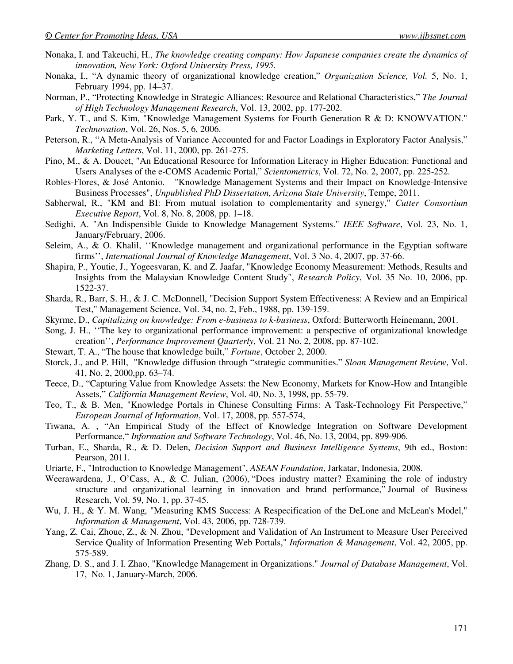- Nonaka, I. and Takeuchi, H., *The knowledge creating company: How Japanese companies create the dynamics of innovation, New York: Oxford University Press, 1995.*
- Nonaka, I., "A dynamic theory of organizational knowledge creation," *Organization Science, Vol.* 5, No. 1, February 1994, pp. 14–37.
- Norman, P., "Protecting Knowledge in Strategic Alliances: Resource and Relational Characteristics," *The Journal of High Technology Management Research*, Vol. 13, 2002, pp. 177-202.
- Park, Y. T., and S. Kim, "Knowledge Management Systems for Fourth Generation R & D: KNOWVATION." *Technovation*, Vol. 26, Nos. 5, 6, 2006.
- Peterson, R., "A Meta-Analysis of Variance Accounted for and Factor Loadings in Exploratory Factor Analysis," *Marketing Letters*, Vol. 11, 2000, pp. 261-275.
- Pino, M., & A. Doucet, "An Educational Resource for Information Literacy in Higher Education: Functional and Users Analyses of the e-COMS Academic Portal," *Scientometrics*, Vol. 72, No. 2, 2007, pp. 225-252.
- Robles-Flores, & José Antonio. "Knowledge Management Systems and their Impact on Knowledge-Intensive Business Processes", *Unpublished PhD Dissertation, Arizona State University*, Tempe, 2011.
- Sabherwal, R., "KM and BI: From mutual isolation to complementarity and synergy," *Cutter Consortium Executive Report*, Vol. 8, No. 8, 2008, pp. 1–18.
- Sedighi, A. "An Indispensible Guide to Knowledge Management Systems." *IEEE Software*, Vol. 23, No. 1, January/February, 2006.
- Seleim, A., & O. Khalil, ''Knowledge management and organizational performance in the Egyptian software firms'', *International Journal of Knowledge Management*, Vol. 3 No. 4, 2007, pp. 37-66.
- Shapira, P., Youtie, J., Yogeesvaran, K. and Z. Jaafar, "Knowledge Economy Measurement: Methods, Results and Insights from the Malaysian Knowledge Content Study", *Research Policy*, Vol. 35 No. 10, 2006, pp. 1522-37.
- Sharda, R., Barr, S. H., & J. C. McDonnell, "Decision Support System Effectiveness: A Review and an Empirical Test," Management Science, Vol. 34, no. 2, Feb., 1988, pp. 139-159.
- Skyrme, D., *Capitalizing on knowledge: From e-business to k-business*, Oxford: Butterworth Heinemann, 2001.
- Song, J. H., ''The key to organizational performance improvement: a perspective of organizational knowledge creation'', *Performance Improvement Quarterly*, Vol. 21 No. 2, 2008, pp. 87-102.
- Stewart, T. A., "The house that knowledge built," *Fortune*, October 2, 2000.
- Storck, J., and P. Hill, "Knowledge diffusion through "strategic communities." *Sloan Management Review*, Vol. 41, No. 2, 2000,pp. 63–74.
- Teece, D., "Capturing Value from Knowledge Assets: the New Economy, Markets for Know-How and Intangible Assets," *California Management Review*, Vol. 40, No. 3, 1998, pp. 55-79.
- Teo, T., & B. Men, "Knowledge Portals in Chinese Consulting Firms: A Task-Technology Fit Perspective," *European Journal of Information*, Vol. 17, 2008, pp. 557-574,
- Tiwana, A. , "An Empirical Study of the Effect of Knowledge Integration on Software Development Performance," *Information and Software Technology*, Vol. 46, No. 13, 2004, pp. 899-906.
- Turban, E., Sharda, R., & D. Delen, *Decision Support and Business Intelligence Systems*, 9th ed., Boston: Pearson, 2011.
- Uriarte, F., "Introduction to Knowledge Management", *ASEAN Foundation*, Jarkatar, Indonesia, 2008.
- Weerawardena, J., O'Cass, A., & C. Julian, (2006), "Does industry matter? Examining the role of industry structure and organizational learning in innovation and brand performance," Journal of Business Research, Vol. 59, No. 1, pp. 37-45.
- Wu, J. H., & Y. M. Wang, "Measuring KMS Success: A Respecification of the DeLone and McLean's Model," *Information & Management*, Vol. 43, 2006, pp. 728-739.
- Yang, Z. Cai, Zhoue, Z., & N. Zhou, "Development and Validation of An Instrument to Measure User Perceived Service Quality of Information Presenting Web Portals," *Information & Management*, Vol. 42, 2005, pp. 575-589.
- Zhang, D. S., and J. I. Zhao, "Knowledge Management in Organizations." *Journal of Database Management*, Vol. 17, No. 1, January-March, 2006.